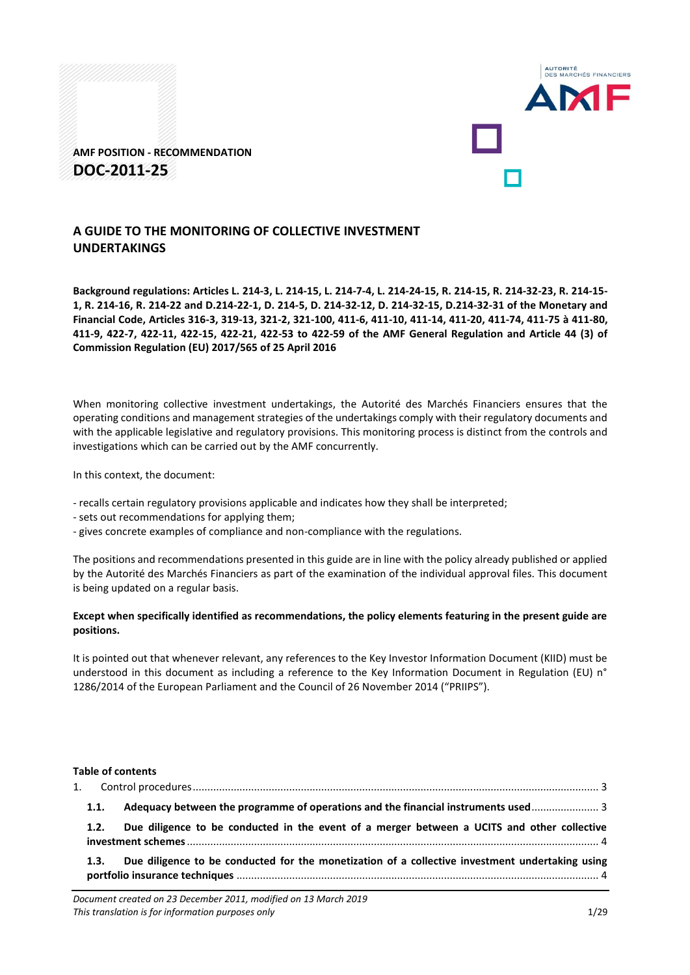

**AMF POSITION - RECOMMENDATION DOC-2011-25**

# **A GUIDE TO THE MONITORING OF COLLECTIVE INVESTMENT UNDERTAKINGS**

**Background regulations: Articles L. 214-3, L. 214-15, L. 214-7-4, L. 214-24-15, R. 214-15, R. 214-32-23, R. 214-15- 1, R. 214-16, R. 214-22 and D.214-22-1, D. 214-5, D. 214-32-12, D. 214-32-15, D.214-32-31 of the Monetary and Financial Code, Articles 316-3, 319-13, 321-2, 321-100, 411-6, 411-10, 411-14, 411-20, 411-74, 411-75 à 411-80, 411-9, 422-7, 422-11, 422-15, 422-21, 422-53 to 422-59 of the AMF General Regulation and Article 44 (3) of Commission Regulation (EU) 2017/565 of 25 April 2016**

When monitoring collective investment undertakings, the Autorité des Marchés Financiers ensures that the operating conditions and management strategies of the undertakings comply with their regulatory documents and with the applicable legislative and regulatory provisions. This monitoring process is distinct from the controls and investigations which can be carried out by the AMF concurrently.

In this context, the document:

- recalls certain regulatory provisions applicable and indicates how they shall be interpreted;
- sets out recommendations for applying them;
- gives concrete examples of compliance and non-compliance with the regulations.

The positions and recommendations presented in this guide are in line with the policy already published or applied by the Autorité des Marchés Financiers as part of the examination of the individual approval files. This document is being updated on a regular basis.

#### **Except when specifically identified as recommendations, the policy elements featuring in the present guide are positions.**

It is pointed out that whenever relevant, any references to the Key Investor Information Document (KIID) must be understood in this document as including a reference to the Key Information Document in Regulation (EU) n° 1286/2014 of the European Parliament and the Council of 26 November 2014 ("PRIIPS").

#### **Table of contents**

|  | 1.1. | Adequacy between the programme of operations and the financial instruments used                 |  |  |
|--|------|-------------------------------------------------------------------------------------------------|--|--|
|  | 1.2. | Due diligence to be conducted in the event of a merger between a UCITS and other collective     |  |  |
|  | 1.3. | Due diligence to be conducted for the monetization of a collective investment undertaking using |  |  |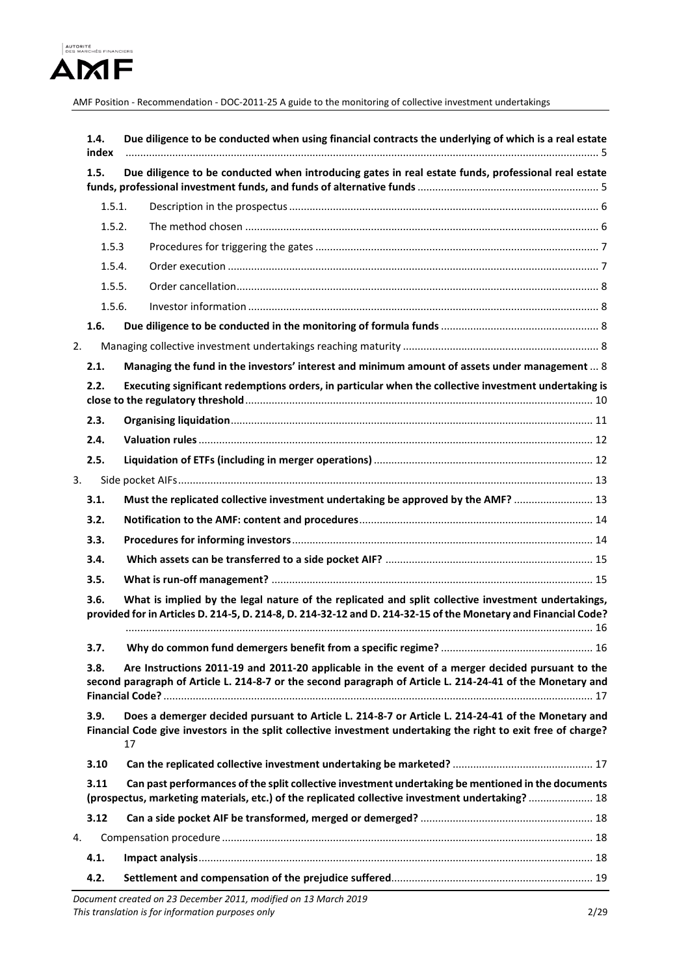

|    | 1.4.<br>index |    | Due diligence to be conducted when using financial contracts the underlying of which is a real estate                                                                                                                 |
|----|---------------|----|-----------------------------------------------------------------------------------------------------------------------------------------------------------------------------------------------------------------------|
|    | 1.5.          |    | Due diligence to be conducted when introducing gates in real estate funds, professional real estate                                                                                                                   |
|    | 1.5.1.        |    |                                                                                                                                                                                                                       |
|    | 1.5.2.        |    |                                                                                                                                                                                                                       |
|    | 1.5.3         |    |                                                                                                                                                                                                                       |
|    | 1.5.4.        |    |                                                                                                                                                                                                                       |
|    | 1.5.5.        |    |                                                                                                                                                                                                                       |
|    | 1.5.6.        |    |                                                                                                                                                                                                                       |
|    | 1.6.          |    |                                                                                                                                                                                                                       |
| 2. |               |    |                                                                                                                                                                                                                       |
|    | 2.1.          |    | Managing the fund in the investors' interest and minimum amount of assets under management  8                                                                                                                         |
|    | 2.2.          |    | Executing significant redemptions orders, in particular when the collective investment undertaking is                                                                                                                 |
|    | 2.3.          |    |                                                                                                                                                                                                                       |
|    | 2.4.          |    |                                                                                                                                                                                                                       |
|    | 2.5.          |    |                                                                                                                                                                                                                       |
| 3. |               |    |                                                                                                                                                                                                                       |
|    | 3.1.          |    | Must the replicated collective investment undertaking be approved by the AMF?  13                                                                                                                                     |
|    | 3.2.          |    |                                                                                                                                                                                                                       |
|    | 3.3.          |    |                                                                                                                                                                                                                       |
|    | 3.4.          |    |                                                                                                                                                                                                                       |
|    | 3.5.          |    |                                                                                                                                                                                                                       |
|    | 3.6.          |    | What is implied by the legal nature of the replicated and split collective investment undertakings,<br>provided for in Articles D. 214-5, D. 214-8, D. 214-32-12 and D. 214-32-15 of the Monetary and Financial Code? |
|    | 3.7.          |    |                                                                                                                                                                                                                       |
|    | 3.8.          |    | Are Instructions 2011-19 and 2011-20 applicable in the event of a merger decided pursuant to the<br>second paragraph of Article L. 214-8-7 or the second paragraph of Article L. 214-24-41 of the Monetary and        |
|    | 3.9.          | 17 | Does a demerger decided pursuant to Article L. 214-8-7 or Article L. 214-24-41 of the Monetary and<br>Financial Code give investors in the split collective investment undertaking the right to exit free of charge?  |
|    | 3.10          |    |                                                                                                                                                                                                                       |
|    | 3.11          |    | Can past performances of the split collective investment undertaking be mentioned in the documents<br>(prospectus, marketing materials, etc.) of the replicated collective investment undertaking?  18                |
|    | 3.12          |    |                                                                                                                                                                                                                       |
| 4. |               |    |                                                                                                                                                                                                                       |
|    | 4.1.          |    |                                                                                                                                                                                                                       |
|    | 4.2.          |    |                                                                                                                                                                                                                       |
|    |               |    |                                                                                                                                                                                                                       |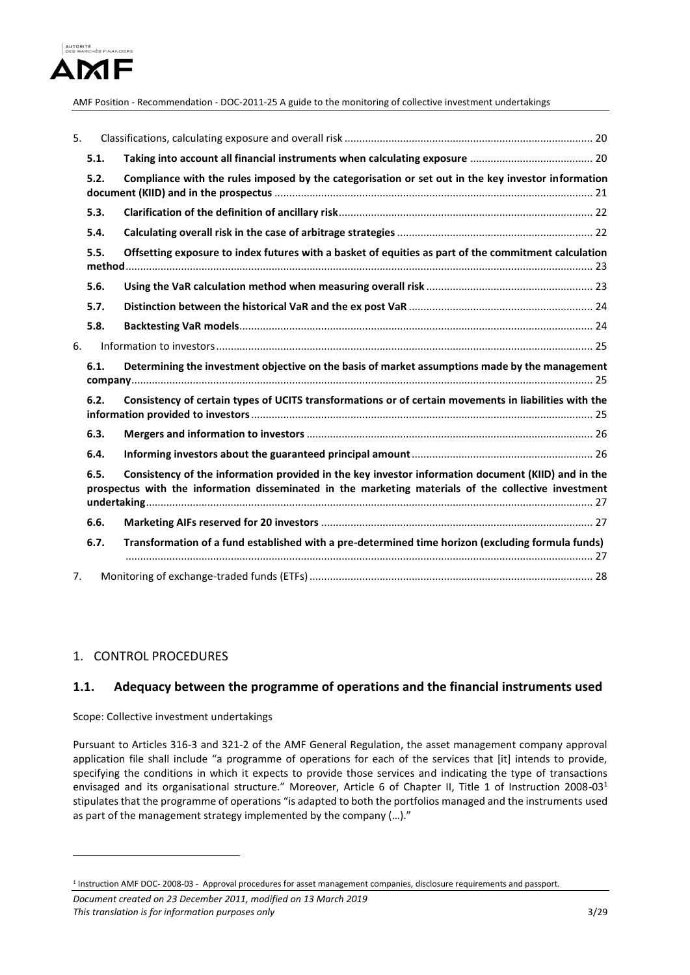

| 5. |      |                                                                                                                                                                                                            |  |  |  |  |
|----|------|------------------------------------------------------------------------------------------------------------------------------------------------------------------------------------------------------------|--|--|--|--|
|    | 5.1. |                                                                                                                                                                                                            |  |  |  |  |
|    | 5.2. | Compliance with the rules imposed by the categorisation or set out in the key investor information                                                                                                         |  |  |  |  |
|    | 5.3. |                                                                                                                                                                                                            |  |  |  |  |
|    | 5.4. |                                                                                                                                                                                                            |  |  |  |  |
|    | 5.5. | Offsetting exposure to index futures with a basket of equities as part of the commitment calculation                                                                                                       |  |  |  |  |
|    | 5.6. |                                                                                                                                                                                                            |  |  |  |  |
|    | 5.7. |                                                                                                                                                                                                            |  |  |  |  |
|    | 5.8. |                                                                                                                                                                                                            |  |  |  |  |
| 6. |      |                                                                                                                                                                                                            |  |  |  |  |
|    | 6.1. | Determining the investment objective on the basis of market assumptions made by the management                                                                                                             |  |  |  |  |
|    | 6.2. | Consistency of certain types of UCITS transformations or of certain movements in liabilities with the                                                                                                      |  |  |  |  |
|    | 6.3. |                                                                                                                                                                                                            |  |  |  |  |
|    | 6.4. |                                                                                                                                                                                                            |  |  |  |  |
|    | 6.5. | Consistency of the information provided in the key investor information document (KIID) and in the<br>prospectus with the information disseminated in the marketing materials of the collective investment |  |  |  |  |
|    | 6.6. |                                                                                                                                                                                                            |  |  |  |  |
|    | 6.7. | Transformation of a fund established with a pre-determined time horizon (excluding formula funds)                                                                                                          |  |  |  |  |
| 7. |      |                                                                                                                                                                                                            |  |  |  |  |

## <span id="page-2-0"></span>1. CONTROL PROCEDURES

<u>.</u>

#### <span id="page-2-1"></span>**1.1. Adequacy between the programme of operations and the financial instruments used**

Scope: Collective investment undertakings

Pursuant to Articles 316-3 and 321-2 of the AMF General Regulation, the asset management company approval application file shall include "a programme of operations for each of the services that [it] intends to provide, specifying the conditions in which it expects to provide those services and indicating the type of transactions envisaged and its organisational structure." Moreover, Article 6 of Chapter II, Title 1 of Instruction 2008-03<sup>1</sup> stipulates that the programme of operations "is adapted to both the portfolios managed and the instruments used as part of the management strategy implemented by the company (…)."

<sup>&</sup>lt;sup>1</sup> Instruction AMF DOC- 2008-03 - Approval procedures for asset management companies, disclosure requirements and passport.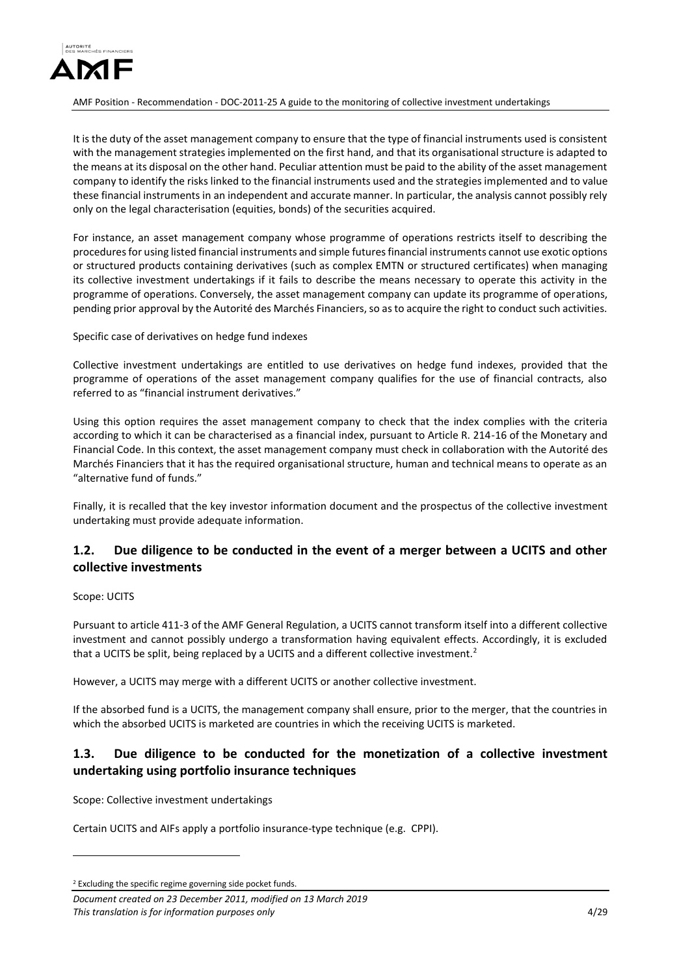

It is the duty of the asset management company to ensure that the type of financial instruments used is consistent with the management strategies implemented on the first hand, and that its organisational structure is adapted to the means at its disposal on the other hand. Peculiar attention must be paid to the ability of the asset management company to identify the risks linked to the financial instruments used and the strategies implemented and to value these financial instruments in an independent and accurate manner. In particular, the analysis cannot possibly rely only on the legal characterisation (equities, bonds) of the securities acquired.

For instance, an asset management company whose programme of operations restricts itself to describing the procedures for using listed financial instruments and simple futures financial instruments cannot use exotic options or structured products containing derivatives (such as complex EMTN or structured certificates) when managing its collective investment undertakings if it fails to describe the means necessary to operate this activity in the programme of operations. Conversely, the asset management company can update its programme of operations, pending prior approval by the Autorité des Marchés Financiers, so as to acquire the right to conduct such activities.

Specific case of derivatives on hedge fund indexes

Collective investment undertakings are entitled to use derivatives on hedge fund indexes, provided that the programme of operations of the asset management company qualifies for the use of financial contracts, also referred to as "financial instrument derivatives."

Using this option requires the asset management company to check that the index complies with the criteria according to which it can be characterised as a financial index, pursuant to Article R. 214-16 of the Monetary and Financial Code. In this context, the asset management company must check in collaboration with the Autorité des Marchés Financiers that it has the required organisational structure, human and technical means to operate as an "alternative fund of funds."

Finally, it is recalled that the key investor information document and the prospectus of the collective investment undertaking must provide adequate information.

## <span id="page-3-0"></span>**1.2. Due diligence to be conducted in the event of a merger between a UCITS and other collective investments**

#### Scope: UCITS

<u>.</u>

Pursuant to article 411-3 of the AMF General Regulation, a UCITS cannot transform itself into a different collective investment and cannot possibly undergo a transformation having equivalent effects. Accordingly, it is excluded that a UCITS be split, being replaced by a UCITS and a different collective investment.<sup>2</sup>

However, a UCITS may merge with a different UCITS or another collective investment.

If the absorbed fund is a UCITS, the management company shall ensure, prior to the merger, that the countries in which the absorbed UCITS is marketed are countries in which the receiving UCITS is marketed.

## <span id="page-3-1"></span>**1.3. Due diligence to be conducted for the monetization of a collective investment undertaking using portfolio insurance techniques**

Scope: Collective investment undertakings

Certain UCITS and AIFs apply a portfolio insurance-type technique (e.g. CPPI).

 $2$  Excluding the specific regime governing side pocket funds.

*Document created on 23 December 2011, modified on 13 March 2019 This translation is for information purposes only* 4/29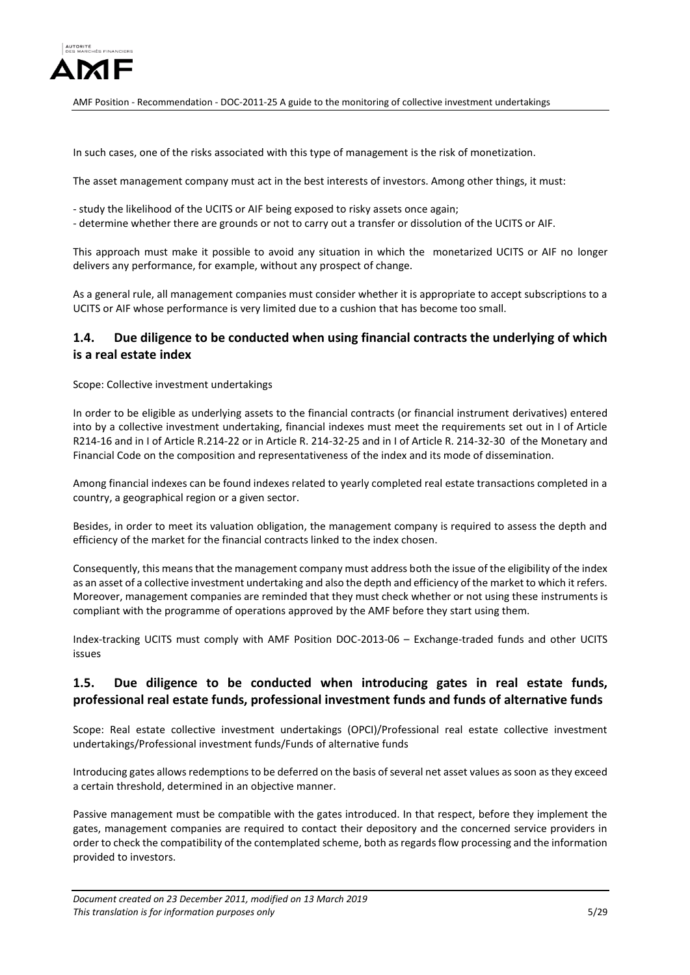

In such cases, one of the risks associated with this type of management is the risk of monetization.

The asset management company must act in the best interests of investors. Among other things, it must:

- study the likelihood of the UCITS or AIF being exposed to risky assets once again;
- determine whether there are grounds or not to carry out a transfer or dissolution of the UCITS or AIF.

This approach must make it possible to avoid any situation in which the monetarized UCITS or AIF no longer delivers any performance, for example, without any prospect of change.

As a general rule, all management companies must consider whether it is appropriate to accept subscriptions to a UCITS or AIF whose performance is very limited due to a cushion that has become too small.

## <span id="page-4-0"></span>**1.4. Due diligence to be conducted when using financial contracts the underlying of which is a real estate index**

Scope: Collective investment undertakings

In order to be eligible as underlying assets to the financial contracts (or financial instrument derivatives) entered into by a collective investment undertaking, financial indexes must meet the requirements set out in I of Article R214-16 and in I of Article R.214-22 or in Article R. 214-32-25 and in I of Article R. 214-32-30 of the Monetary and Financial Code on the composition and representativeness of the index and its mode of dissemination.

Among financial indexes can be found indexes related to yearly completed real estate transactions completed in a country, a geographical region or a given sector.

Besides, in order to meet its valuation obligation, the management company is required to assess the depth and efficiency of the market for the financial contracts linked to the index chosen.

Consequently, this means that the management company must address both the issue of the eligibility of the index as an asset of a collective investment undertaking and also the depth and efficiency of the market to which it refers. Moreover, management companies are reminded that they must check whether or not using these instruments is compliant with the programme of operations approved by the AMF before they start using them.

Index-tracking UCITS must comply with AMF Position DOC-2013-06 – Exchange-traded funds and other UCITS issues

## <span id="page-4-1"></span>**1.5. Due diligence to be conducted when introducing gates in real estate funds, professional real estate funds, professional investment funds and funds of alternative funds**

Scope: Real estate collective investment undertakings (OPCI)/Professional real estate collective investment undertakings/Professional investment funds/Funds of alternative funds

Introducing gates allows redemptions to be deferred on the basis of several net asset values as soon as they exceed a certain threshold, determined in an objective manner.

Passive management must be compatible with the gates introduced. In that respect, before they implement the gates, management companies are required to contact their depository and the concerned service providers in order to check the compatibility of the contemplated scheme, both as regards flow processing and the information provided to investors.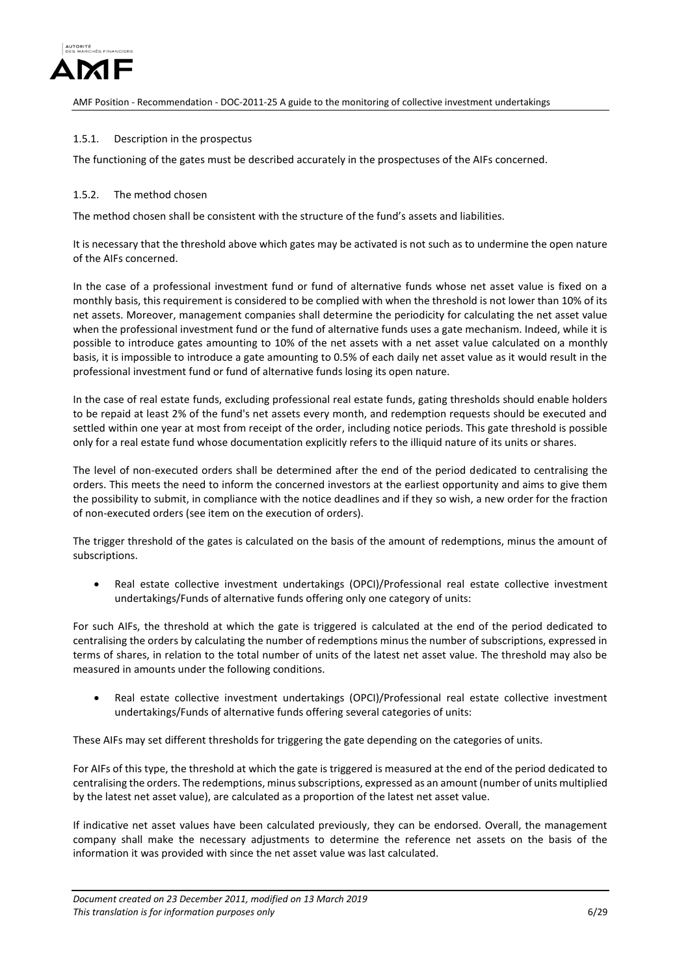

#### <span id="page-5-0"></span>1.5.1. Description in the prospectus

The functioning of the gates must be described accurately in the prospectuses of the AIFs concerned.

#### <span id="page-5-1"></span>1.5.2. The method chosen

The method chosen shall be consistent with the structure of the fund's assets and liabilities.

It is necessary that the threshold above which gates may be activated is not such as to undermine the open nature of the AIFs concerned.

In the case of a professional investment fund or fund of alternative funds whose net asset value is fixed on a monthly basis, this requirement is considered to be complied with when the threshold is not lower than 10% of its net assets. Moreover, management companies shall determine the periodicity for calculating the net asset value when the professional investment fund or the fund of alternative funds uses a gate mechanism. Indeed, while it is possible to introduce gates amounting to 10% of the net assets with a net asset value calculated on a monthly basis, it is impossible to introduce a gate amounting to 0.5% of each daily net asset value as it would result in the professional investment fund or fund of alternative funds losing its open nature.

In the case of real estate funds, excluding professional real estate funds, gating thresholds should enable holders to be repaid at least 2% of the fund's net assets every month, and redemption requests should be executed and settled within one year at most from receipt of the order, including notice periods. This gate threshold is possible only for a real estate fund whose documentation explicitly refers to the illiquid nature of its units or shares.

The level of non-executed orders shall be determined after the end of the period dedicated to centralising the orders. This meets the need to inform the concerned investors at the earliest opportunity and aims to give them the possibility to submit, in compliance with the notice deadlines and if they so wish, a new order for the fraction of non-executed orders (see item on the execution of orders).

The trigger threshold of the gates is calculated on the basis of the amount of redemptions, minus the amount of subscriptions.

• Real estate collective investment undertakings (OPCI)/Professional real estate collective investment undertakings/Funds of alternative funds offering only one category of units:

For such AIFs, the threshold at which the gate is triggered is calculated at the end of the period dedicated to centralising the orders by calculating the number of redemptions minus the number of subscriptions, expressed in terms of shares, in relation to the total number of units of the latest net asset value. The threshold may also be measured in amounts under the following conditions.

• Real estate collective investment undertakings (OPCI)/Professional real estate collective investment undertakings/Funds of alternative funds offering several categories of units:

These AIFs may set different thresholds for triggering the gate depending on the categories of units.

For AIFs of this type, the threshold at which the gate is triggered is measured at the end of the period dedicated to centralising the orders. The redemptions, minus subscriptions, expressed as an amount (number of units multiplied by the latest net asset value), are calculated as a proportion of the latest net asset value.

If indicative net asset values have been calculated previously, they can be endorsed. Overall, the management company shall make the necessary adjustments to determine the reference net assets on the basis of the information it was provided with since the net asset value was last calculated.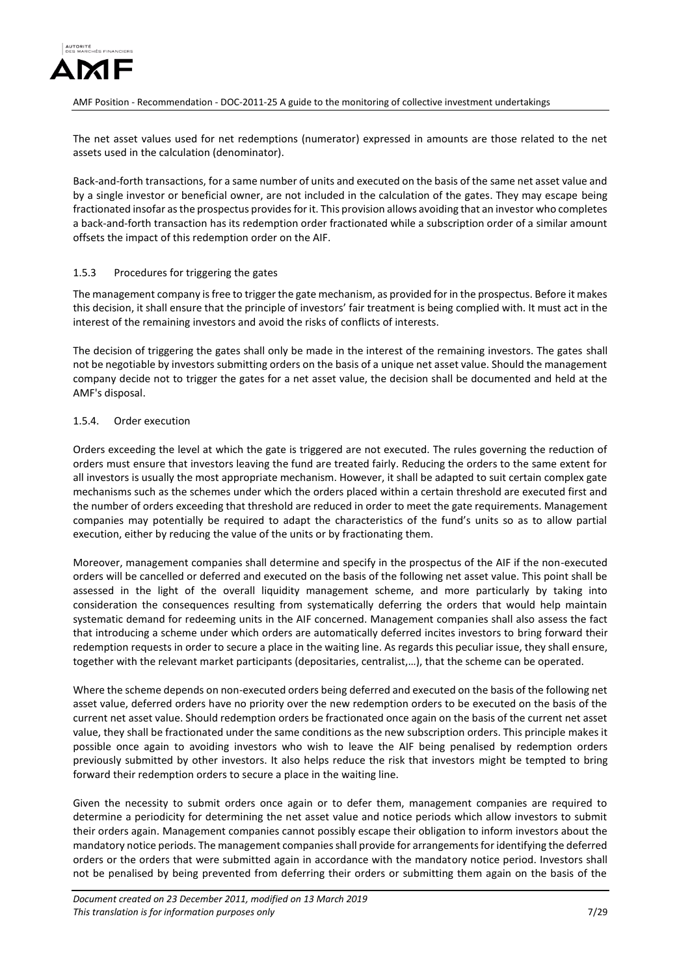

The net asset values used for net redemptions (numerator) expressed in amounts are those related to the net assets used in the calculation (denominator).

Back-and-forth transactions, for a same number of units and executed on the basis of the same net asset value and by a single investor or beneficial owner, are not included in the calculation of the gates. They may escape being fractionated insofar as the prospectus provides for it. This provision allows avoiding that an investor who completes a back-and-forth transaction has its redemption order fractionated while a subscription order of a similar amount offsets the impact of this redemption order on the AIF.

#### <span id="page-6-0"></span>1.5.3 Procedures for triggering the gates

The management company is free to trigger the gate mechanism, as provided for in the prospectus. Before it makes this decision, it shall ensure that the principle of investors' fair treatment is being complied with. It must act in the interest of the remaining investors and avoid the risks of conflicts of interests.

The decision of triggering the gates shall only be made in the interest of the remaining investors. The gates shall not be negotiable by investors submitting orders on the basis of a unique net asset value. Should the management company decide not to trigger the gates for a net asset value, the decision shall be documented and held at the AMF's disposal.

#### <span id="page-6-1"></span>1.5.4. Order execution

Orders exceeding the level at which the gate is triggered are not executed. The rules governing the reduction of orders must ensure that investors leaving the fund are treated fairly. Reducing the orders to the same extent for all investors is usually the most appropriate mechanism. However, it shall be adapted to suit certain complex gate mechanisms such as the schemes under which the orders placed within a certain threshold are executed first and the number of orders exceeding that threshold are reduced in order to meet the gate requirements. Management companies may potentially be required to adapt the characteristics of the fund's units so as to allow partial execution, either by reducing the value of the units or by fractionating them.

Moreover, management companies shall determine and specify in the prospectus of the AIF if the non-executed orders will be cancelled or deferred and executed on the basis of the following net asset value. This point shall be assessed in the light of the overall liquidity management scheme, and more particularly by taking into consideration the consequences resulting from systematically deferring the orders that would help maintain systematic demand for redeeming units in the AIF concerned. Management companies shall also assess the fact that introducing a scheme under which orders are automatically deferred incites investors to bring forward their redemption requests in order to secure a place in the waiting line. As regards this peculiar issue, they shall ensure, together with the relevant market participants (depositaries, centralist,…), that the scheme can be operated.

Where the scheme depends on non-executed orders being deferred and executed on the basis of the following net asset value, deferred orders have no priority over the new redemption orders to be executed on the basis of the current net asset value. Should redemption orders be fractionated once again on the basis of the current net asset value, they shall be fractionated under the same conditions as the new subscription orders. This principle makes it possible once again to avoiding investors who wish to leave the AIF being penalised by redemption orders previously submitted by other investors. It also helps reduce the risk that investors might be tempted to bring forward their redemption orders to secure a place in the waiting line.

Given the necessity to submit orders once again or to defer them, management companies are required to determine a periodicity for determining the net asset value and notice periods which allow investors to submit their orders again. Management companies cannot possibly escape their obligation to inform investors about the mandatory notice periods. The management companies shall provide for arrangements for identifying the deferred orders or the orders that were submitted again in accordance with the mandatory notice period. Investors shall not be penalised by being prevented from deferring their orders or submitting them again on the basis of the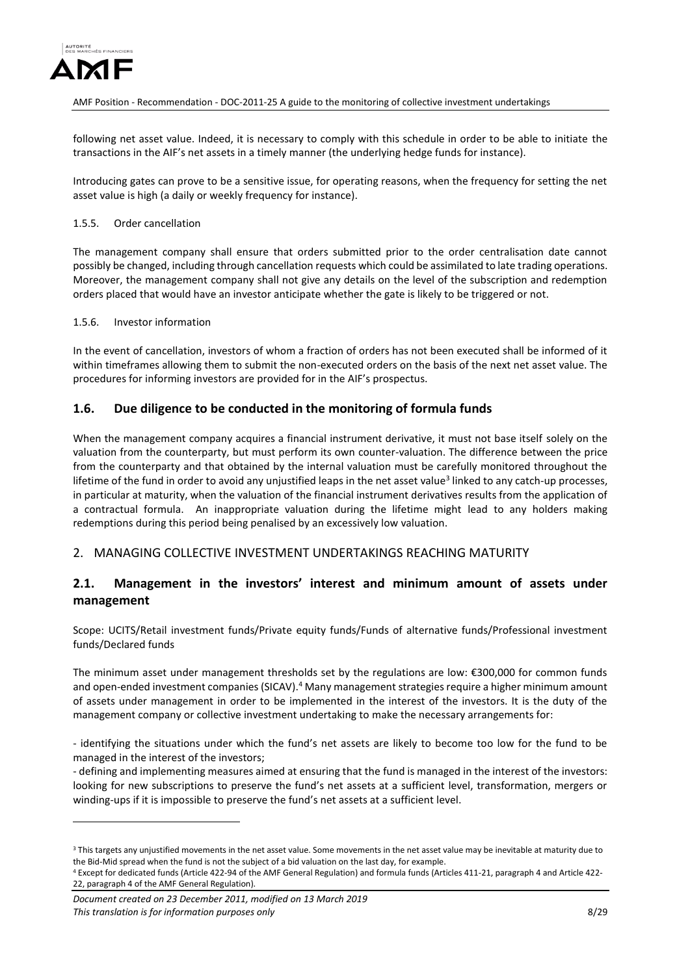

following net asset value. Indeed, it is necessary to comply with this schedule in order to be able to initiate the transactions in the AIF's net assets in a timely manner (the underlying hedge funds for instance).

Introducing gates can prove to be a sensitive issue, for operating reasons, when the frequency for setting the net asset value is high (a daily or weekly frequency for instance).

#### <span id="page-7-0"></span>1.5.5. Order cancellation

The management company shall ensure that orders submitted prior to the order centralisation date cannot possibly be changed, including through cancellation requests which could be assimilated to late trading operations. Moreover, the management company shall not give any details on the level of the subscription and redemption orders placed that would have an investor anticipate whether the gate is likely to be triggered or not.

#### <span id="page-7-1"></span>1.5.6. Investor information

In the event of cancellation, investors of whom a fraction of orders has not been executed shall be informed of it within timeframes allowing them to submit the non-executed orders on the basis of the next net asset value. The procedures for informing investors are provided for in the AIF's prospectus.

## <span id="page-7-2"></span>**1.6. Due diligence to be conducted in the monitoring of formula funds**

When the management company acquires a financial instrument derivative, it must not base itself solely on the valuation from the counterparty, but must perform its own counter-valuation. The difference between the price from the counterparty and that obtained by the internal valuation must be carefully monitored throughout the lifetime of the fund in order to avoid any unjustified leaps in the net asset value<sup>3</sup> linked to any catch-up processes, in particular at maturity, when the valuation of the financial instrument derivatives results from the application of a contractual formula. An inappropriate valuation during the lifetime might lead to any holders making redemptions during this period being penalised by an excessively low valuation.

#### <span id="page-7-3"></span>2. MANAGING COLLECTIVE INVESTMENT UNDERTAKINGS REACHING MATURITY

## <span id="page-7-4"></span>**2.1. Management in the investors' interest and minimum amount of assets under management**

Scope: UCITS/Retail investment funds/Private equity funds/Funds of alternative funds/Professional investment funds/Declared funds

The minimum asset under management thresholds set by the regulations are low: €300,000 for common funds and open-ended investment companies (SICAV).<sup>4</sup> Many management strategies require a higher minimum amount of assets under management in order to be implemented in the interest of the investors. It is the duty of the management company or collective investment undertaking to make the necessary arrangements for:

- identifying the situations under which the fund's net assets are likely to become too low for the fund to be managed in the interest of the investors;

- defining and implementing measures aimed at ensuring that the fund is managed in the interest of the investors: looking for new subscriptions to preserve the fund's net assets at a sufficient level, transformation, mergers or winding-ups if it is impossible to preserve the fund's net assets at a sufficient level.

<u>.</u>

<sup>&</sup>lt;sup>3</sup> This targets any unjustified movements in the net asset value. Some movements in the net asset value may be inevitable at maturity due to the Bid-Mid spread when the fund is not the subject of a bid valuation on the last day, for example.

<sup>4</sup> Except for dedicated funds (Article 422-94 of the AMF General Regulation) and formula funds (Articles 411-21, paragraph 4 and Article 422- 22, paragraph 4 of the AMF General Regulation).

*Document created on 23 December 2011, modified on 13 March 2019 This translation is for information purposes only* 8/29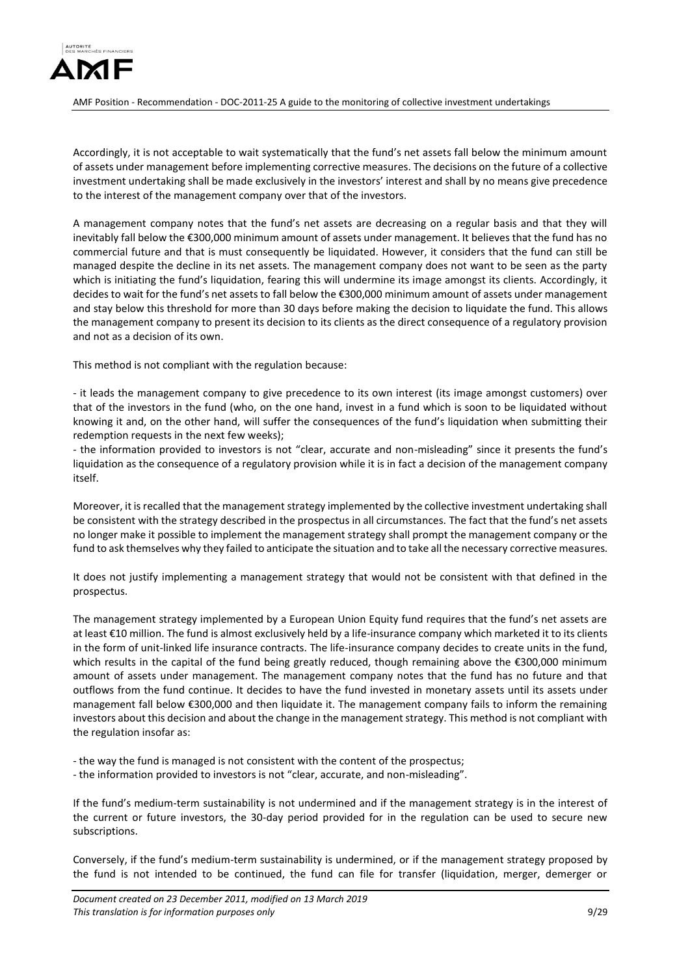

Accordingly, it is not acceptable to wait systematically that the fund's net assets fall below the minimum amount of assets under management before implementing corrective measures. The decisions on the future of a collective investment undertaking shall be made exclusively in the investors' interest and shall by no means give precedence to the interest of the management company over that of the investors.

A management company notes that the fund's net assets are decreasing on a regular basis and that they will inevitably fall below the €300,000 minimum amount of assets under management. It believes that the fund has no commercial future and that is must consequently be liquidated. However, it considers that the fund can still be managed despite the decline in its net assets. The management company does not want to be seen as the party which is initiating the fund's liquidation, fearing this will undermine its image amongst its clients. Accordingly, it decides to wait for the fund's net assets to fall below the €300,000 minimum amount of assets under management and stay below this threshold for more than 30 days before making the decision to liquidate the fund. This allows the management company to present its decision to its clients as the direct consequence of a regulatory provision and not as a decision of its own.

This method is not compliant with the regulation because:

- it leads the management company to give precedence to its own interest (its image amongst customers) over that of the investors in the fund (who, on the one hand, invest in a fund which is soon to be liquidated without knowing it and, on the other hand, will suffer the consequences of the fund's liquidation when submitting their redemption requests in the next few weeks);

- the information provided to investors is not "clear, accurate and non-misleading" since it presents the fund's liquidation as the consequence of a regulatory provision while it is in fact a decision of the management company itself.

Moreover, it is recalled that the management strategy implemented by the collective investment undertaking shall be consistent with the strategy described in the prospectus in all circumstances. The fact that the fund's net assets no longer make it possible to implement the management strategy shall prompt the management company or the fund to ask themselves why they failed to anticipate the situation and to take all the necessary corrective measures.

It does not justify implementing a management strategy that would not be consistent with that defined in the prospectus.

The management strategy implemented by a European Union Equity fund requires that the fund's net assets are at least €10 million. The fund is almost exclusively held by a life-insurance company which marketed it to its clients in the form of unit-linked life insurance contracts. The life-insurance company decides to create units in the fund, which results in the capital of the fund being greatly reduced, though remaining above the €300,000 minimum amount of assets under management. The management company notes that the fund has no future and that outflows from the fund continue. It decides to have the fund invested in monetary assets until its assets under management fall below €300,000 and then liquidate it. The management company fails to inform the remaining investors about this decision and about the change in the management strategy. This method is not compliant with the regulation insofar as:

- the way the fund is managed is not consistent with the content of the prospectus;

- the information provided to investors is not "clear, accurate, and non-misleading".

If the fund's medium-term sustainability is not undermined and if the management strategy is in the interest of the current or future investors, the 30-day period provided for in the regulation can be used to secure new subscriptions.

Conversely, if the fund's medium-term sustainability is undermined, or if the management strategy proposed by the fund is not intended to be continued, the fund can file for transfer (liquidation, merger, demerger or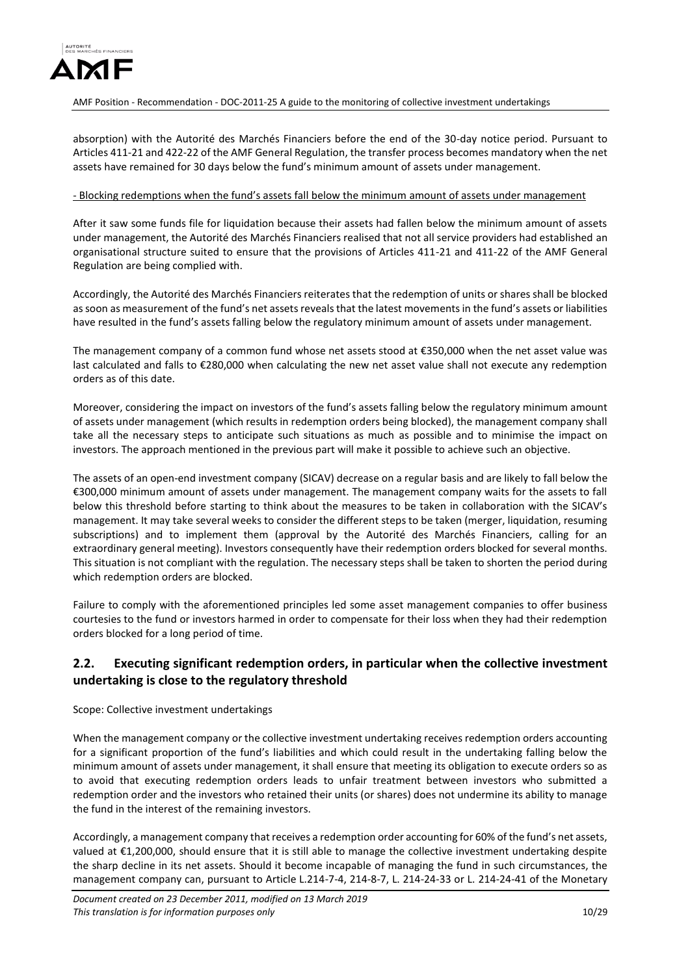

absorption) with the Autorité des Marchés Financiers before the end of the 30-day notice period. Pursuant to Articles 411-21 and 422-22 of the AMF General Regulation, the transfer process becomes mandatory when the net assets have remained for 30 days below the fund's minimum amount of assets under management.

#### - Blocking redemptions when the fund's assets fall below the minimum amount of assets under management

After it saw some funds file for liquidation because their assets had fallen below the minimum amount of assets under management, the Autorité des Marchés Financiers realised that not all service providers had established an organisational structure suited to ensure that the provisions of Articles 411-21 and 411-22 of the AMF General Regulation are being complied with.

Accordingly, the Autorité des Marchés Financiers reiterates that the redemption of units or shares shall be blocked as soon as measurement of the fund's net assets reveals that the latest movements in the fund's assets or liabilities have resulted in the fund's assets falling below the regulatory minimum amount of assets under management.

The management company of a common fund whose net assets stood at €350,000 when the net asset value was last calculated and falls to €280,000 when calculating the new net asset value shall not execute any redemption orders as of this date.

Moreover, considering the impact on investors of the fund's assets falling below the regulatory minimum amount of assets under management (which results in redemption orders being blocked), the management company shall take all the necessary steps to anticipate such situations as much as possible and to minimise the impact on investors. The approach mentioned in the previous part will make it possible to achieve such an objective.

The assets of an open-end investment company (SICAV) decrease on a regular basis and are likely to fall below the €300,000 minimum amount of assets under management. The management company waits for the assets to fall below this threshold before starting to think about the measures to be taken in collaboration with the SICAV's management. It may take several weeks to consider the different steps to be taken (merger, liquidation, resuming subscriptions) and to implement them (approval by the Autorité des Marchés Financiers, calling for an extraordinary general meeting). Investors consequently have their redemption orders blocked for several months. This situation is not compliant with the regulation. The necessary steps shall be taken to shorten the period during which redemption orders are blocked.

Failure to comply with the aforementioned principles led some asset management companies to offer business courtesies to the fund or investors harmed in order to compensate for their loss when they had their redemption orders blocked for a long period of time.

# <span id="page-9-0"></span>**2.2. Executing significant redemption orders, in particular when the collective investment undertaking is close to the regulatory threshold**

Scope: Collective investment undertakings

When the management company or the collective investment undertaking receives redemption orders accounting for a significant proportion of the fund's liabilities and which could result in the undertaking falling below the minimum amount of assets under management, it shall ensure that meeting its obligation to execute orders so as to avoid that executing redemption orders leads to unfair treatment between investors who submitted a redemption order and the investors who retained their units (or shares) does not undermine its ability to manage the fund in the interest of the remaining investors.

Accordingly, a management company that receives a redemption order accounting for 60% of the fund's net assets, valued at €1,200,000, should ensure that it is still able to manage the collective investment undertaking despite the sharp decline in its net assets. Should it become incapable of managing the fund in such circumstances, the management company can, pursuant to Article L.214-7-4, 214-8-7, L. 214-24-33 or L. 214-24-41 of the Monetary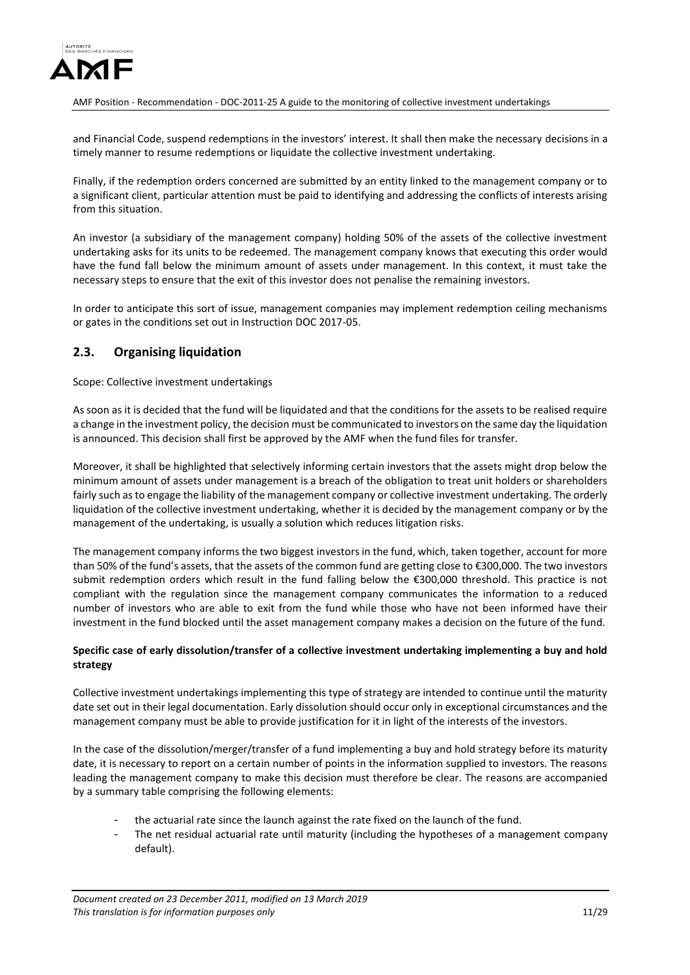

and Financial Code, suspend redemptions in the investors' interest. It shall then make the necessary decisions in a timely manner to resume redemptions or liquidate the collective investment undertaking.

Finally, if the redemption orders concerned are submitted by an entity linked to the management company or to a significant client, particular attention must be paid to identifying and addressing the conflicts of interests arising from this situation.

An investor (a subsidiary of the management company) holding 50% of the assets of the collective investment undertaking asks for its units to be redeemed. The management company knows that executing this order would have the fund fall below the minimum amount of assets under management. In this context, it must take the necessary steps to ensure that the exit of this investor does not penalise the remaining investors.

In order to anticipate this sort of issue, management companies may implement redemption ceiling mechanisms or gates in the conditions set out in Instruction DOC 2017-05.

## <span id="page-10-0"></span>**2.3. Organising liquidation**

Scope: Collective investment undertakings

As soon as it is decided that the fund will be liquidated and that the conditions for the assets to be realised require a change in the investment policy, the decision must be communicated to investors on the same day the liquidation is announced. This decision shall first be approved by the AMF when the fund files for transfer.

Moreover, it shall be highlighted that selectively informing certain investors that the assets might drop below the minimum amount of assets under management is a breach of the obligation to treat unit holders or shareholders fairly such as to engage the liability of the management company or collective investment undertaking. The orderly liquidation of the collective investment undertaking, whether it is decided by the management company or by the management of the undertaking, is usually a solution which reduces litigation risks.

The management company informs the two biggest investors in the fund, which, taken together, account for more than 50% of the fund's assets, that the assets of the common fund are getting close to €300,000. The two investors submit redemption orders which result in the fund falling below the €300,000 threshold. This practice is not compliant with the regulation since the management company communicates the information to a reduced number of investors who are able to exit from the fund while those who have not been informed have their investment in the fund blocked until the asset management company makes a decision on the future of the fund.

#### **Specific case of early dissolution/transfer of a collective investment undertaking implementing a buy and hold strategy**

Collective investment undertakings implementing this type of strategy are intended to continue until the maturity date set out in their legal documentation. Early dissolution should occur only in exceptional circumstances and the management company must be able to provide justification for it in light of the interests of the investors.

In the case of the dissolution/merger/transfer of a fund implementing a buy and hold strategy before its maturity date, it is necessary to report on a certain number of points in the information supplied to investors. The reasons leading the management company to make this decision must therefore be clear. The reasons are accompanied by a summary table comprising the following elements:

- the actuarial rate since the launch against the rate fixed on the launch of the fund.
- The net residual actuarial rate until maturity (including the hypotheses of a management company default).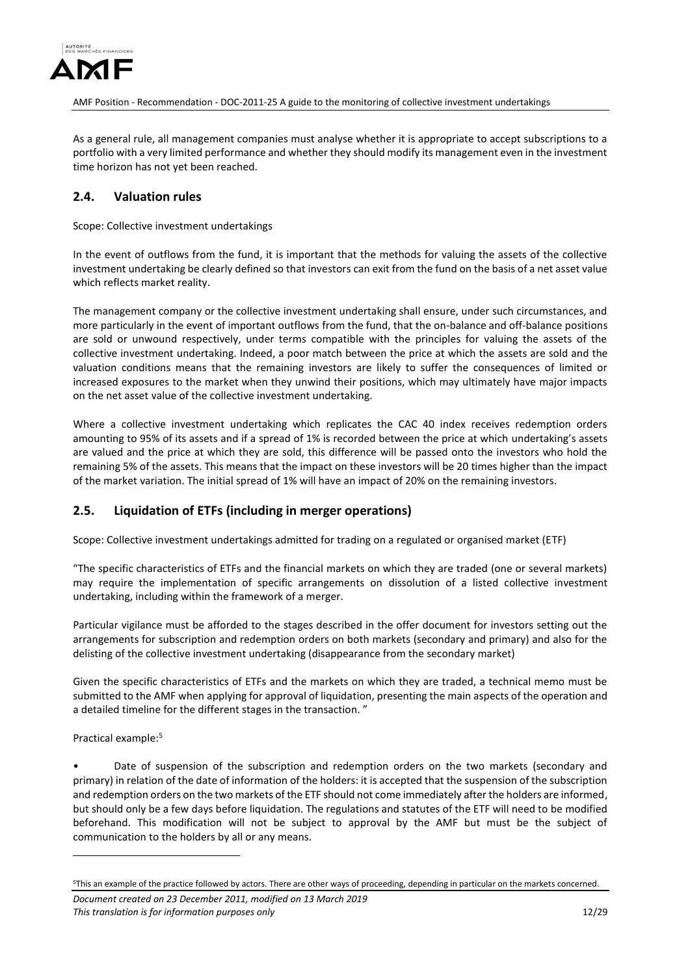

As a general rule, all management companies must analyse whether it is appropriate to accept subscriptions to a portfolio with a very limited performance and whether they should modify its management even in the investment time horizon has not yet been reached.

## <span id="page-11-0"></span>**2.4. Valuation rules**

Scope: Collective investment undertakings

In the event of outflows from the fund, it is important that the methods for valuing the assets of the collective investment undertaking be clearly defined so that investors can exit from the fund on the basis of a net asset value which reflects market reality.

The management company or the collective investment undertaking shall ensure, under such circumstances, and more particularly in the event of important outflows from the fund, that the on-balance and off-balance positions are sold or unwound respectively, under terms compatible with the principles for valuing the assets of the collective investment undertaking. Indeed, a poor match between the price at which the assets are sold and the valuation conditions means that the remaining investors are likely to suffer the consequences of limited or increased exposures to the market when they unwind their positions, which may ultimately have major impacts on the net asset value of the collective investment undertaking.

Where a collective investment undertaking which replicates the CAC 40 index receives redemption orders amounting to 95% of its assets and if a spread of 1% is recorded between the price at which undertaking's assets are valued and the price at which they are sold, this difference will be passed onto the investors who hold the remaining 5% of the assets. This means that the impact on these investors will be 20 times higher than the impact of the market variation. The initial spread of 1% will have an impact of 20% on the remaining investors.

# <span id="page-11-1"></span>**2.5. Liquidation of ETFs (including in merger operations)**

Scope: Collective investment undertakings admitted for trading on a regulated or organised market (ETF)

"The specific characteristics of ETFs and the financial markets on which they are traded (one or several markets) may require the implementation of specific arrangements on dissolution of a listed collective investment undertaking, including within the framework of a merger.

Particular vigilance must be afforded to the stages described in the offer document for investors setting out the arrangements for subscription and redemption orders on both markets (secondary and primary) and also for the delisting of the collective investment undertaking (disappearance from the secondary market)

Given the specific characteristics of ETFs and the markets on which they are traded, a technical memo must be submitted to the AMF when applying for approval of liquidation, presenting the main aspects of the operation and a detailed timeline for the different stages in the transaction. "

Practical example:<sup>5</sup>

<u>.</u>

Date of suspension of the subscription and redemption orders on the two markets (secondary and primary) in relation of the date of information of the holders: it is accepted that the suspension of the subscription and redemption orders on the two markets of the ETF should not come immediately after the holders are informed, but should only be a few days before liquidation. The regulations and statutes of the ETF will need to be modified beforehand. This modification will not be subject to approval by the AMF but must be the subject of communication to the holders by all or any means.

<sup>5</sup>This an example of the practice followed by actors. There are other ways of proceeding, depending in particular on the markets concerned.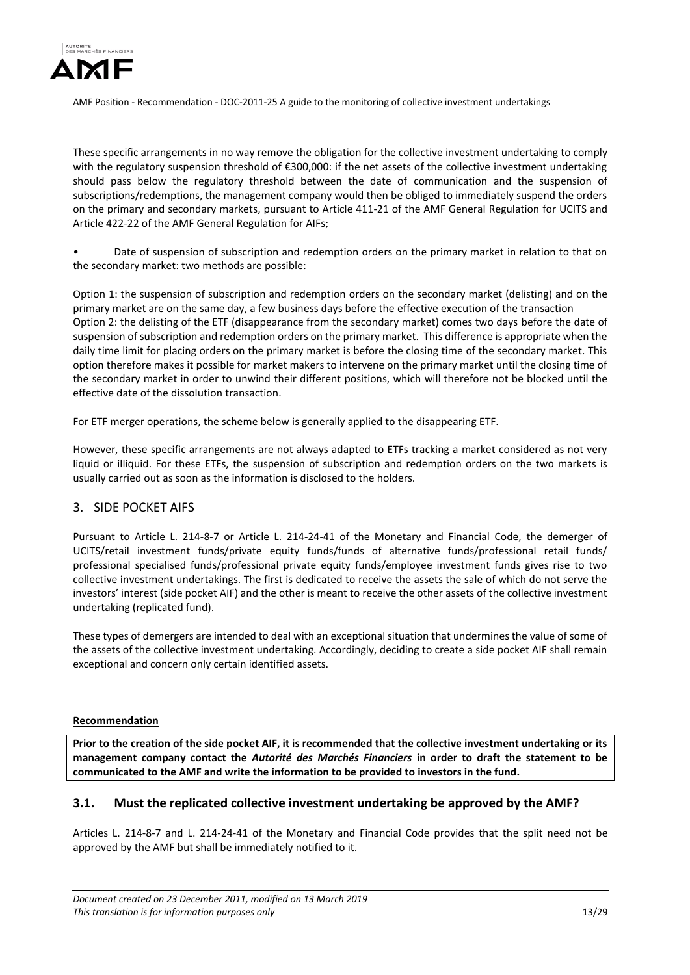

These specific arrangements in no way remove the obligation for the collective investment undertaking to comply with the regulatory suspension threshold of €300,000: if the net assets of the collective investment undertaking should pass below the regulatory threshold between the date of communication and the suspension of subscriptions/redemptions, the management company would then be obliged to immediately suspend the orders on the primary and secondary markets, pursuant to Article 411-21 of the AMF General Regulation for UCITS and Article 422-22 of the AMF General Regulation for AIFs;

• Date of suspension of subscription and redemption orders on the primary market in relation to that on the secondary market: two methods are possible:

Option 1: the suspension of subscription and redemption orders on the secondary market (delisting) and on the primary market are on the same day, a few business days before the effective execution of the transaction Option 2: the delisting of the ETF (disappearance from the secondary market) comes two days before the date of suspension of subscription and redemption orders on the primary market. This difference is appropriate when the daily time limit for placing orders on the primary market is before the closing time of the secondary market. This option therefore makes it possible for market makers to intervene on the primary market until the closing time of the secondary market in order to unwind their different positions, which will therefore not be blocked until the effective date of the dissolution transaction.

For ETF merger operations, the scheme below is generally applied to the disappearing ETF.

However, these specific arrangements are not always adapted to ETFs tracking a market considered as not very liquid or illiquid. For these ETFs, the suspension of subscription and redemption orders on the two markets is usually carried out as soon as the information is disclosed to the holders.

## <span id="page-12-0"></span>3. SIDE POCKET AIFS

Pursuant to Article L. 214-8-7 or Article L. 214-24-41 of the Monetary and Financial Code, the demerger of UCITS/retail investment funds/private equity funds/funds of alternative funds/professional retail funds/ professional specialised funds/professional private equity funds/employee investment funds gives rise to two collective investment undertakings. The first is dedicated to receive the assets the sale of which do not serve the investors' interest (side pocket AIF) and the other is meant to receive the other assets of the collective investment undertaking (replicated fund).

These types of demergers are intended to deal with an exceptional situation that undermines the value of some of the assets of the collective investment undertaking. Accordingly, deciding to create a side pocket AIF shall remain exceptional and concern only certain identified assets.

#### **Recommendation**

**Prior to the creation of the side pocket AIF, it is recommended that the collective investment undertaking or its management company contact the** *Autorité des Marchés Financiers* **in order to draft the statement to be communicated to the AMF and write the information to be provided to investors in the fund.**

## <span id="page-12-1"></span>**3.1. Must the replicated collective investment undertaking be approved by the AMF?**

Articles L. 214-8-7 and L. 214-24-41 of the Monetary and Financial Code provides that the split need not be approved by the AMF but shall be immediately notified to it.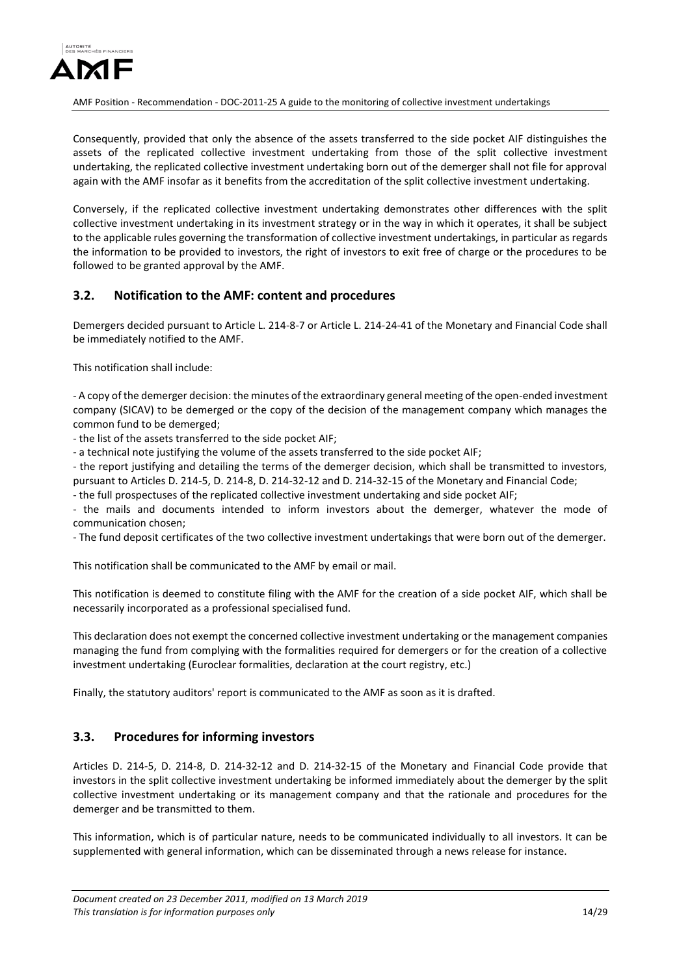

Consequently, provided that only the absence of the assets transferred to the side pocket AIF distinguishes the assets of the replicated collective investment undertaking from those of the split collective investment undertaking, the replicated collective investment undertaking born out of the demerger shall not file for approval again with the AMF insofar as it benefits from the accreditation of the split collective investment undertaking.

Conversely, if the replicated collective investment undertaking demonstrates other differences with the split collective investment undertaking in its investment strategy or in the way in which it operates, it shall be subject to the applicable rules governing the transformation of collective investment undertakings, in particular as regards the information to be provided to investors, the right of investors to exit free of charge or the procedures to be followed to be granted approval by the AMF.

## <span id="page-13-0"></span>**3.2. Notification to the AMF: content and procedures**

Demergers decided pursuant to Article L. 214-8-7 or Article L. 214-24-41 of the Monetary and Financial Code shall be immediately notified to the AMF.

This notification shall include:

- A copy of the demerger decision: the minutes of the extraordinary general meeting of the open-ended investment company (SICAV) to be demerged or the copy of the decision of the management company which manages the common fund to be demerged;

- the list of the assets transferred to the side pocket AIF;

- a technical note justifying the volume of the assets transferred to the side pocket AIF;

- the report justifying and detailing the terms of the demerger decision, which shall be transmitted to investors, pursuant to Articles D. 214-5, D. 214-8, D. 214-32-12 and D. 214-32-15 of the Monetary and Financial Code;

- the full prospectuses of the replicated collective investment undertaking and side pocket AIF;

- the mails and documents intended to inform investors about the demerger, whatever the mode of communication chosen;

- The fund deposit certificates of the two collective investment undertakings that were born out of the demerger.

This notification shall be communicated to the AMF by email or mail.

This notification is deemed to constitute filing with the AMF for the creation of a side pocket AIF, which shall be necessarily incorporated as a professional specialised fund.

This declaration does not exempt the concerned collective investment undertaking or the management companies managing the fund from complying with the formalities required for demergers or for the creation of a collective investment undertaking (Euroclear formalities, declaration at the court registry, etc.)

Finally, the statutory auditors' report is communicated to the AMF as soon as it is drafted.

## <span id="page-13-1"></span>**3.3. Procedures for informing investors**

Articles D. 214-5, D. 214-8, D. 214-32-12 and D. 214-32-15 of the Monetary and Financial Code provide that investors in the split collective investment undertaking be informed immediately about the demerger by the split collective investment undertaking or its management company and that the rationale and procedures for the demerger and be transmitted to them.

This information, which is of particular nature, needs to be communicated individually to all investors. It can be supplemented with general information, which can be disseminated through a news release for instance.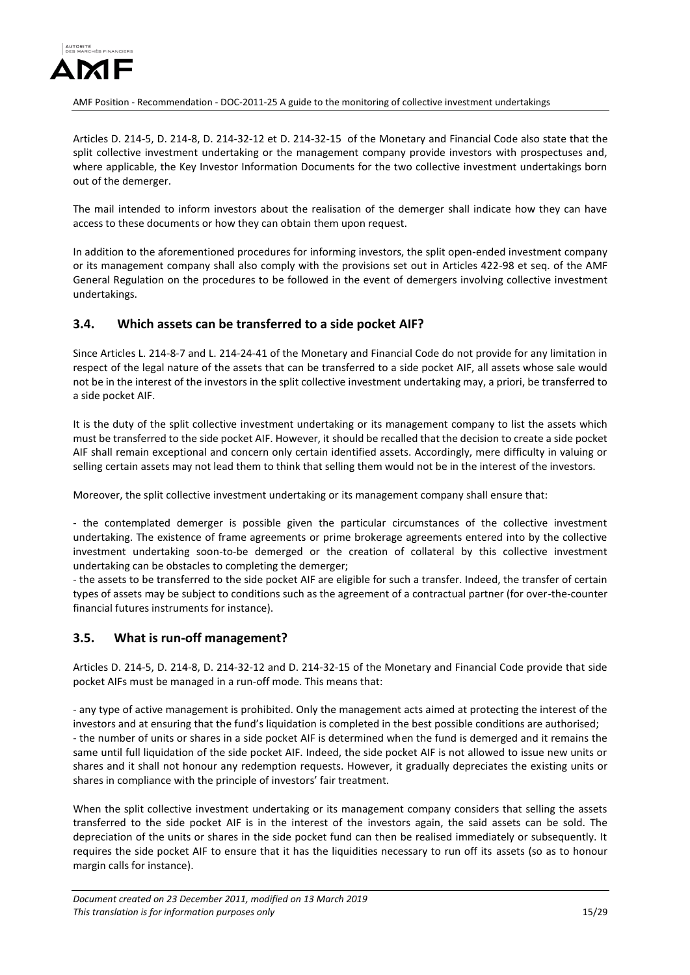

Articles D. 214-5, D. 214-8, D. 214-32-12 et D. 214-32-15 of the Monetary and Financial Code also state that the split collective investment undertaking or the management company provide investors with prospectuses and, where applicable, the Key Investor Information Documents for the two collective investment undertakings born out of the demerger.

The mail intended to inform investors about the realisation of the demerger shall indicate how they can have access to these documents or how they can obtain them upon request.

In addition to the aforementioned procedures for informing investors, the split open-ended investment company or its management company shall also comply with the provisions set out in Articles 422-98 et seq. of the AMF General Regulation on the procedures to be followed in the event of demergers involving collective investment undertakings.

# <span id="page-14-0"></span>**3.4. Which assets can be transferred to a side pocket AIF?**

Since Articles L. 214-8-7 and L. 214-24-41 of the Monetary and Financial Code do not provide for any limitation in respect of the legal nature of the assets that can be transferred to a side pocket AIF, all assets whose sale would not be in the interest of the investors in the split collective investment undertaking may, a priori, be transferred to a side pocket AIF.

It is the duty of the split collective investment undertaking or its management company to list the assets which must be transferred to the side pocket AIF. However, it should be recalled that the decision to create a side pocket AIF shall remain exceptional and concern only certain identified assets. Accordingly, mere difficulty in valuing or selling certain assets may not lead them to think that selling them would not be in the interest of the investors.

Moreover, the split collective investment undertaking or its management company shall ensure that:

- the contemplated demerger is possible given the particular circumstances of the collective investment undertaking. The existence of frame agreements or prime brokerage agreements entered into by the collective investment undertaking soon-to-be demerged or the creation of collateral by this collective investment undertaking can be obstacles to completing the demerger;

- the assets to be transferred to the side pocket AIF are eligible for such a transfer. Indeed, the transfer of certain types of assets may be subject to conditions such as the agreement of a contractual partner (for over-the-counter financial futures instruments for instance).

# <span id="page-14-1"></span>**3.5. What is run-off management?**

Articles D. 214-5, D. 214-8, D. 214-32-12 and D. 214-32-15 of the Monetary and Financial Code provide that side pocket AIFs must be managed in a run-off mode. This means that:

- any type of active management is prohibited. Only the management acts aimed at protecting the interest of the investors and at ensuring that the fund's liquidation is completed in the best possible conditions are authorised; - the number of units or shares in a side pocket AIF is determined when the fund is demerged and it remains the same until full liquidation of the side pocket AIF. Indeed, the side pocket AIF is not allowed to issue new units or shares and it shall not honour any redemption requests. However, it gradually depreciates the existing units or shares in compliance with the principle of investors' fair treatment.

When the split collective investment undertaking or its management company considers that selling the assets transferred to the side pocket AIF is in the interest of the investors again, the said assets can be sold. The depreciation of the units or shares in the side pocket fund can then be realised immediately or subsequently. It requires the side pocket AIF to ensure that it has the liquidities necessary to run off its assets (so as to honour margin calls for instance).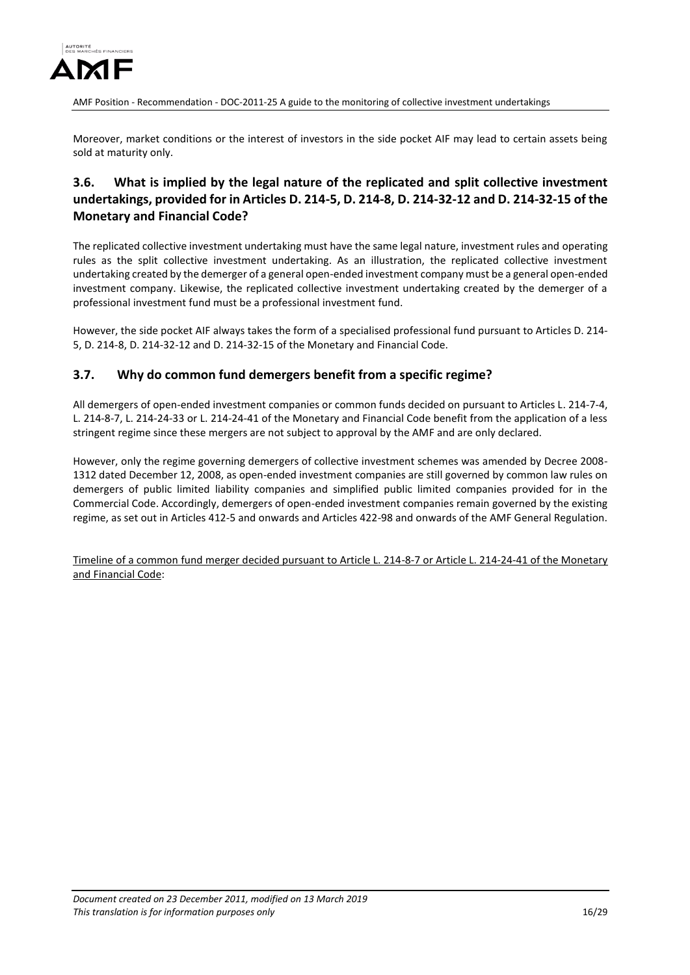

Moreover, market conditions or the interest of investors in the side pocket AIF may lead to certain assets being sold at maturity only.

# <span id="page-15-0"></span>**3.6. What is implied by the legal nature of the replicated and split collective investment undertakings, provided for in Articles D. 214-5, D. 214-8, D. 214-32-12 and D. 214-32-15 of the Monetary and Financial Code?**

The replicated collective investment undertaking must have the same legal nature, investment rules and operating rules as the split collective investment undertaking. As an illustration, the replicated collective investment undertaking created by the demerger of a general open-ended investment company must be a general open-ended investment company. Likewise, the replicated collective investment undertaking created by the demerger of a professional investment fund must be a professional investment fund.

However, the side pocket AIF always takes the form of a specialised professional fund pursuant to Articles D. 214- 5, D. 214-8, D. 214-32-12 and D. 214-32-15 of the Monetary and Financial Code.

# <span id="page-15-1"></span>**3.7. Why do common fund demergers benefit from a specific regime?**

All demergers of open-ended investment companies or common funds decided on pursuant to Articles L. 214-7-4, L. 214-8-7, L. 214-24-33 or L. 214-24-41 of the Monetary and Financial Code benefit from the application of a less stringent regime since these mergers are not subject to approval by the AMF and are only declared.

However, only the regime governing demergers of collective investment schemes was amended by Decree 2008- 1312 dated December 12, 2008, as open-ended investment companies are still governed by common law rules on demergers of public limited liability companies and simplified public limited companies provided for in the Commercial Code. Accordingly, demergers of open-ended investment companies remain governed by the existing regime, as set out in Articles 412-5 and onwards and Articles 422-98 and onwards of the AMF General Regulation.

Timeline of a common fund merger decided pursuant to Article L. 214-8-7 or Article L. 214-24-41 of the Monetary and Financial Code: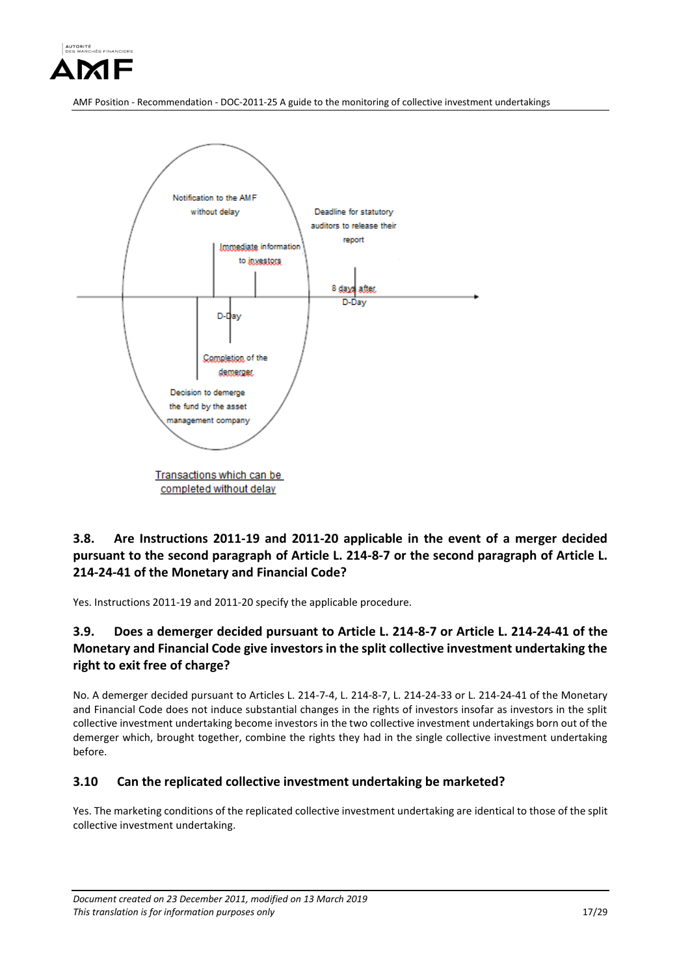



<span id="page-16-0"></span>**3.8. Are Instructions 2011-19 and 2011-20 applicable in the event of a merger decided pursuant to the second paragraph of Article L. 214-8-7 or the second paragraph of Article L. 214-24-41 of the Monetary and Financial Code?**

Yes. Instructions 2011-19 and 2011-20 specify the applicable procedure.

# <span id="page-16-1"></span>**3.9. Does a demerger decided pursuant to Article L. 214-8-7 or Article L. 214-24-41 of the Monetary and Financial Code give investors in the split collective investment undertaking the right to exit free of charge?**

No. A demerger decided pursuant to Articles L. 214-7-4, L. 214-8-7, L. 214-24-33 or L. 214-24-41 of the Monetary and Financial Code does not induce substantial changes in the rights of investors insofar as investors in the split collective investment undertaking become investors in the two collective investment undertakings born out of the demerger which, brought together, combine the rights they had in the single collective investment undertaking before.

## <span id="page-16-2"></span>**3.10 Can the replicated collective investment undertaking be marketed?**

Yes. The marketing conditions of the replicated collective investment undertaking are identical to those of the split collective investment undertaking.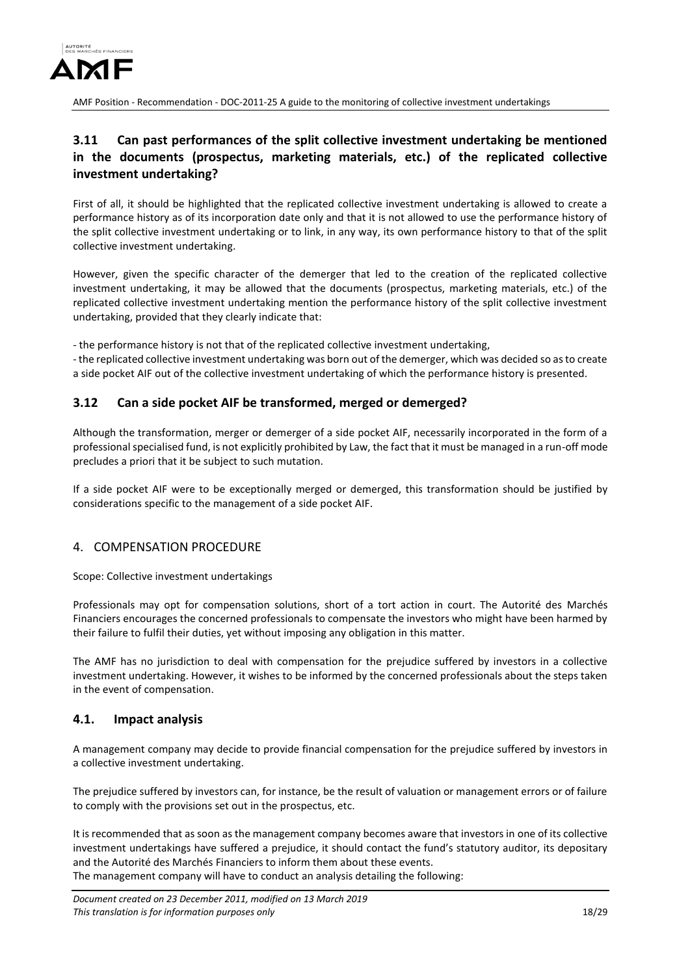

# <span id="page-17-0"></span>**3.11 Can past performances of the split collective investment undertaking be mentioned in the documents (prospectus, marketing materials, etc.) of the replicated collective investment undertaking?**

First of all, it should be highlighted that the replicated collective investment undertaking is allowed to create a performance history as of its incorporation date only and that it is not allowed to use the performance history of the split collective investment undertaking or to link, in any way, its own performance history to that of the split collective investment undertaking.

However, given the specific character of the demerger that led to the creation of the replicated collective investment undertaking, it may be allowed that the documents (prospectus, marketing materials, etc.) of the replicated collective investment undertaking mention the performance history of the split collective investment undertaking, provided that they clearly indicate that:

- the performance history is not that of the replicated collective investment undertaking,

- the replicated collective investment undertaking was born out of the demerger, which was decided so as to create a side pocket AIF out of the collective investment undertaking of which the performance history is presented.

## <span id="page-17-1"></span>**3.12 Can a side pocket AIF be transformed, merged or demerged?**

Although the transformation, merger or demerger of a side pocket AIF, necessarily incorporated in the form of a professional specialised fund, is not explicitly prohibited by Law, the fact that it must be managed in a run-off mode precludes a priori that it be subject to such mutation.

If a side pocket AIF were to be exceptionally merged or demerged, this transformation should be justified by considerations specific to the management of a side pocket AIF.

## <span id="page-17-2"></span>4. COMPENSATION PROCEDURE

Scope: Collective investment undertakings

Professionals may opt for compensation solutions, short of a tort action in court. The Autorité des Marchés Financiers encourages the concerned professionals to compensate the investors who might have been harmed by their failure to fulfil their duties, yet without imposing any obligation in this matter.

The AMF has no jurisdiction to deal with compensation for the prejudice suffered by investors in a collective investment undertaking. However, it wishes to be informed by the concerned professionals about the steps taken in the event of compensation.

#### <span id="page-17-3"></span>**4.1. Impact analysis**

A management company may decide to provide financial compensation for the prejudice suffered by investors in a collective investment undertaking.

The prejudice suffered by investors can, for instance, be the result of valuation or management errors or of failure to comply with the provisions set out in the prospectus, etc.

It is recommended that as soon as the management company becomes aware that investors in one of its collective investment undertakings have suffered a prejudice, it should contact the fund's statutory auditor, its depositary and the Autorité des Marchés Financiers to inform them about these events. The management company will have to conduct an analysis detailing the following: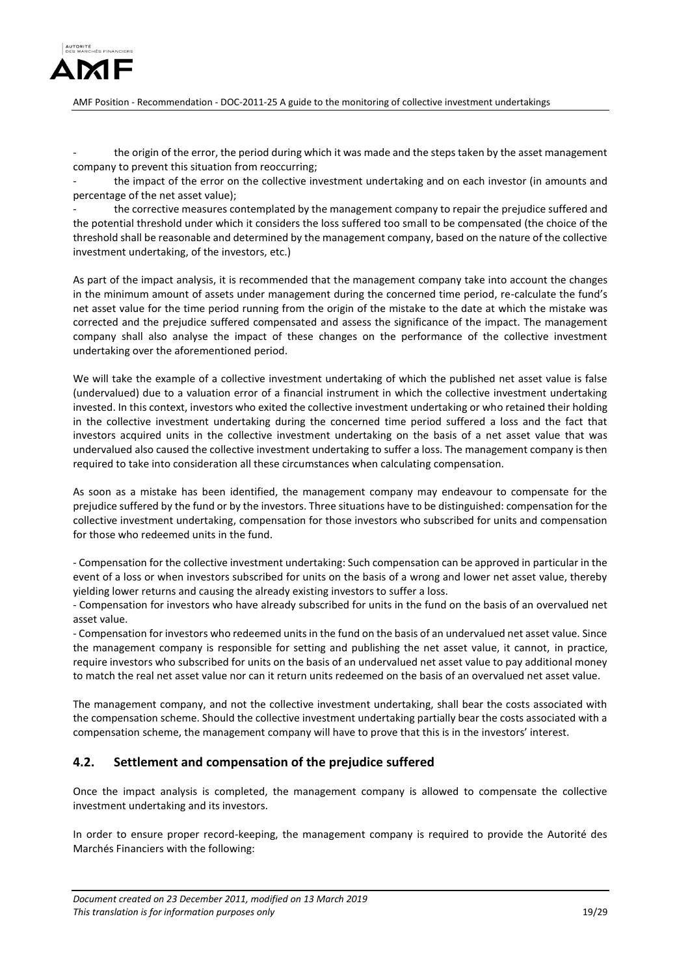

the origin of the error, the period during which it was made and the steps taken by the asset management company to prevent this situation from reoccurring;

the impact of the error on the collective investment undertaking and on each investor (in amounts and percentage of the net asset value);

the corrective measures contemplated by the management company to repair the prejudice suffered and the potential threshold under which it considers the loss suffered too small to be compensated (the choice of the threshold shall be reasonable and determined by the management company, based on the nature of the collective investment undertaking, of the investors, etc.)

As part of the impact analysis, it is recommended that the management company take into account the changes in the minimum amount of assets under management during the concerned time period, re-calculate the fund's net asset value for the time period running from the origin of the mistake to the date at which the mistake was corrected and the prejudice suffered compensated and assess the significance of the impact. The management company shall also analyse the impact of these changes on the performance of the collective investment undertaking over the aforementioned period.

We will take the example of a collective investment undertaking of which the published net asset value is false (undervalued) due to a valuation error of a financial instrument in which the collective investment undertaking invested. In this context, investors who exited the collective investment undertaking or who retained their holding in the collective investment undertaking during the concerned time period suffered a loss and the fact that investors acquired units in the collective investment undertaking on the basis of a net asset value that was undervalued also caused the collective investment undertaking to suffer a loss. The management company is then required to take into consideration all these circumstances when calculating compensation.

As soon as a mistake has been identified, the management company may endeavour to compensate for the prejudice suffered by the fund or by the investors. Three situations have to be distinguished: compensation for the collective investment undertaking, compensation for those investors who subscribed for units and compensation for those who redeemed units in the fund.

- Compensation for the collective investment undertaking: Such compensation can be approved in particular in the event of a loss or when investors subscribed for units on the basis of a wrong and lower net asset value, thereby yielding lower returns and causing the already existing investors to suffer a loss.

- Compensation for investors who have already subscribed for units in the fund on the basis of an overvalued net asset value.

- Compensation for investors who redeemed units in the fund on the basis of an undervalued net asset value. Since the management company is responsible for setting and publishing the net asset value, it cannot, in practice, require investors who subscribed for units on the basis of an undervalued net asset value to pay additional money to match the real net asset value nor can it return units redeemed on the basis of an overvalued net asset value.

The management company, and not the collective investment undertaking, shall bear the costs associated with the compensation scheme. Should the collective investment undertaking partially bear the costs associated with a compensation scheme, the management company will have to prove that this is in the investors' interest.

## <span id="page-18-0"></span>**4.2. Settlement and compensation of the prejudice suffered**

Once the impact analysis is completed, the management company is allowed to compensate the collective investment undertaking and its investors.

In order to ensure proper record-keeping, the management company is required to provide the Autorité des Marchés Financiers with the following: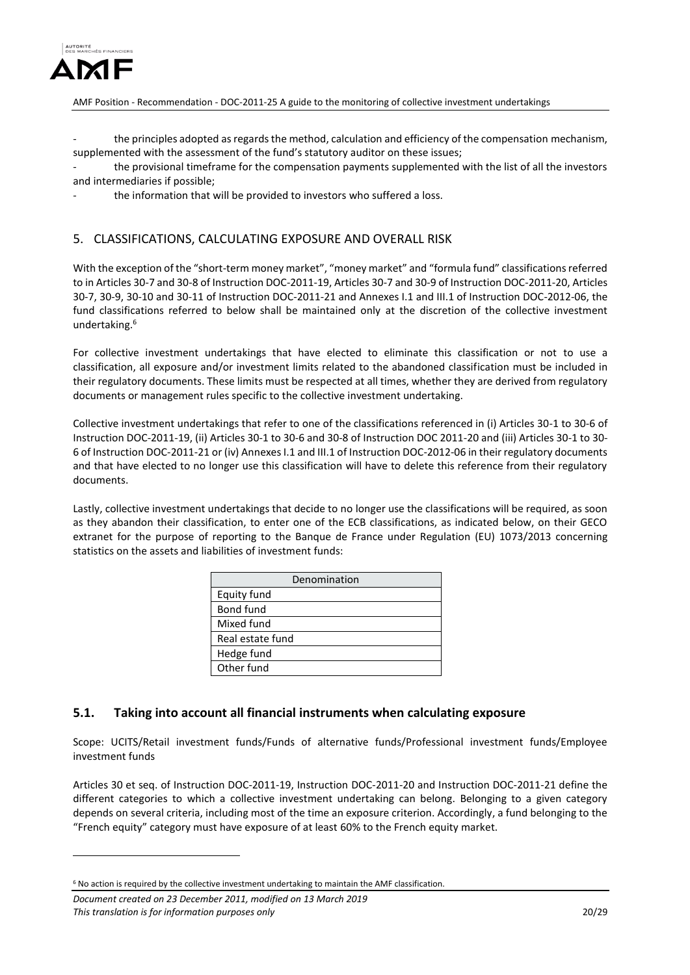

the principles adopted as regards the method, calculation and efficiency of the compensation mechanism, supplemented with the assessment of the fund's statutory auditor on these issues;

the provisional timeframe for the compensation payments supplemented with the list of all the investors and intermediaries if possible;

the information that will be provided to investors who suffered a loss.

#### <span id="page-19-0"></span>5. CLASSIFICATIONS, CALCULATING EXPOSURE AND OVERALL RISK

With the exception of the "short-term money market", "money market" and "formula fund" classifications referred to in Articles 30-7 and 30-8 of Instruction DOC-2011-19, Articles 30-7 and 30-9 of Instruction DOC-2011-20, Articles 30-7, 30-9, 30-10 and 30-11 of Instruction DOC-2011-21 and Annexes I.1 and III.1 of Instruction DOC-2012-06, the fund classifications referred to below shall be maintained only at the discretion of the collective investment undertaking.<sup>6</sup>

For collective investment undertakings that have elected to eliminate this classification or not to use a classification, all exposure and/or investment limits related to the abandoned classification must be included in their regulatory documents. These limits must be respected at all times, whether they are derived from regulatory documents or management rules specific to the collective investment undertaking.

Collective investment undertakings that refer to one of the classifications referenced in (i) Articles 30-1 to 30-6 of Instruction DOC-2011-19, (ii) Articles 30-1 to 30-6 and 30-8 of Instruction DOC 2011-20 and (iii) Articles 30-1 to 30- 6 of Instruction DOC-2011-21 or (iv) Annexes I.1 and III.1 of Instruction DOC-2012-06 in their regulatory documents and that have elected to no longer use this classification will have to delete this reference from their regulatory documents.

Lastly, collective investment undertakings that decide to no longer use the classifications will be required, as soon as they abandon their classification, to enter one of the ECB classifications, as indicated below, on their GECO extranet for the purpose of reporting to the Banque de France under Regulation (EU) 1073/2013 concerning statistics on the assets and liabilities of investment funds:

| Denomination     |
|------------------|
| Equity fund      |
| Bond fund        |
| Mixed fund       |
| Real estate fund |
| Hedge fund       |
| Other fund       |

## <span id="page-19-1"></span>**5.1. Taking into account all financial instruments when calculating exposure**

Scope: UCITS/Retail investment funds/Funds of alternative funds/Professional investment funds/Employee investment funds

Articles 30 et seq. of Instruction DOC-2011-19, Instruction DOC-2011-20 and Instruction DOC-2011-21 define the different categories to which a collective investment undertaking can belong. Belonging to a given category depends on several criteria, including most of the time an exposure criterion. Accordingly, a fund belonging to the "French equity" category must have exposure of at least 60% to the French equity market.

<u>.</u>

<sup>6</sup> No action is required by the collective investment undertaking to maintain the AMF classification.

*Document created on 23 December 2011, modified on 13 March 2019 This translation is for information purposes only* 20/29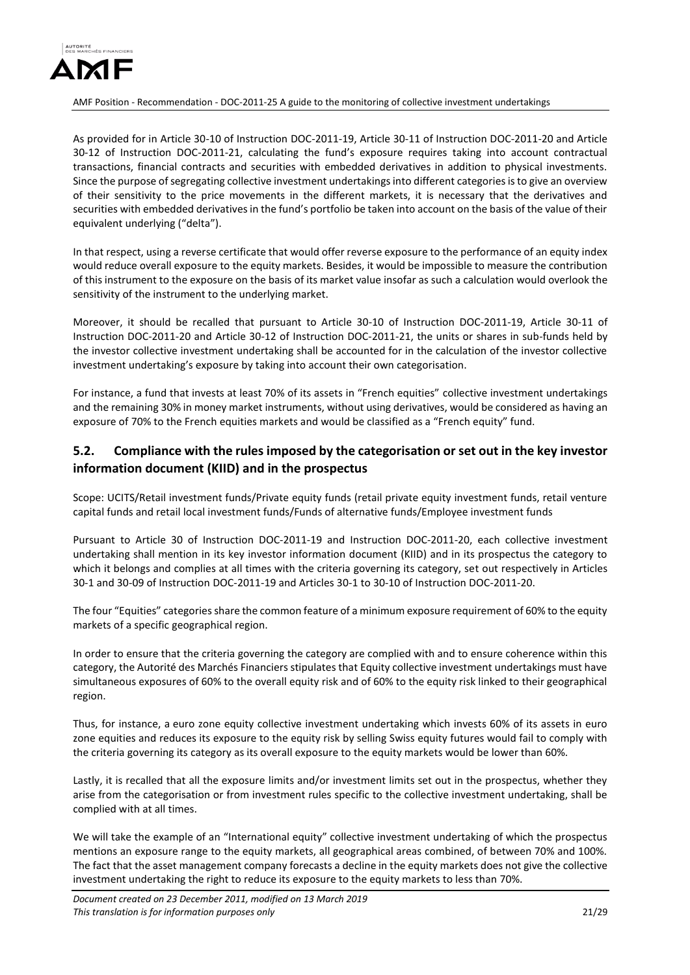

As provided for in Article 30-10 of Instruction DOC-2011-19, Article 30-11 of Instruction DOC-2011-20 and Article 30-12 of Instruction DOC-2011-21, calculating the fund's exposure requires taking into account contractual transactions, financial contracts and securities with embedded derivatives in addition to physical investments. Since the purpose of segregating collective investment undertakings into different categories is to give an overview of their sensitivity to the price movements in the different markets, it is necessary that the derivatives and securities with embedded derivatives in the fund's portfolio be taken into account on the basis of the value of their equivalent underlying ("delta").

In that respect, using a reverse certificate that would offer reverse exposure to the performance of an equity index would reduce overall exposure to the equity markets. Besides, it would be impossible to measure the contribution of this instrument to the exposure on the basis of its market value insofar as such a calculation would overlook the sensitivity of the instrument to the underlying market.

Moreover, it should be recalled that pursuant to Article 30-10 of Instruction DOC-2011-19, Article 30-11 of Instruction DOC-2011-20 and Article 30-12 of Instruction DOC-2011-21, the units or shares in sub-funds held by the investor collective investment undertaking shall be accounted for in the calculation of the investor collective investment undertaking's exposure by taking into account their own categorisation.

For instance, a fund that invests at least 70% of its assets in "French equities" collective investment undertakings and the remaining 30% in money market instruments, without using derivatives, would be considered as having an exposure of 70% to the French equities markets and would be classified as a "French equity" fund.

## <span id="page-20-0"></span>**5.2. Compliance with the rules imposed by the categorisation or set out in the key investor information document (KIID) and in the prospectus**

Scope: UCITS/Retail investment funds/Private equity funds (retail private equity investment funds, retail venture capital funds and retail local investment funds/Funds of alternative funds/Employee investment funds

Pursuant to Article 30 of Instruction DOC-2011-19 and Instruction DOC-2011-20, each collective investment undertaking shall mention in its key investor information document (KIID) and in its prospectus the category to which it belongs and complies at all times with the criteria governing its category, set out respectively in Articles 30-1 and 30-09 of Instruction DOC-2011-19 and Articles 30-1 to 30-10 of Instruction DOC-2011-20.

The four "Equities" categories share the common feature of a minimum exposure requirement of 60% to the equity markets of a specific geographical region.

In order to ensure that the criteria governing the category are complied with and to ensure coherence within this category, the Autorité des Marchés Financiers stipulates that Equity collective investment undertakings must have simultaneous exposures of 60% to the overall equity risk and of 60% to the equity risk linked to their geographical region.

Thus, for instance, a euro zone equity collective investment undertaking which invests 60% of its assets in euro zone equities and reduces its exposure to the equity risk by selling Swiss equity futures would fail to comply with the criteria governing its category as its overall exposure to the equity markets would be lower than 60%.

Lastly, it is recalled that all the exposure limits and/or investment limits set out in the prospectus, whether they arise from the categorisation or from investment rules specific to the collective investment undertaking, shall be complied with at all times.

We will take the example of an "International equity" collective investment undertaking of which the prospectus mentions an exposure range to the equity markets, all geographical areas combined, of between 70% and 100%. The fact that the asset management company forecasts a decline in the equity markets does not give the collective investment undertaking the right to reduce its exposure to the equity markets to less than 70%.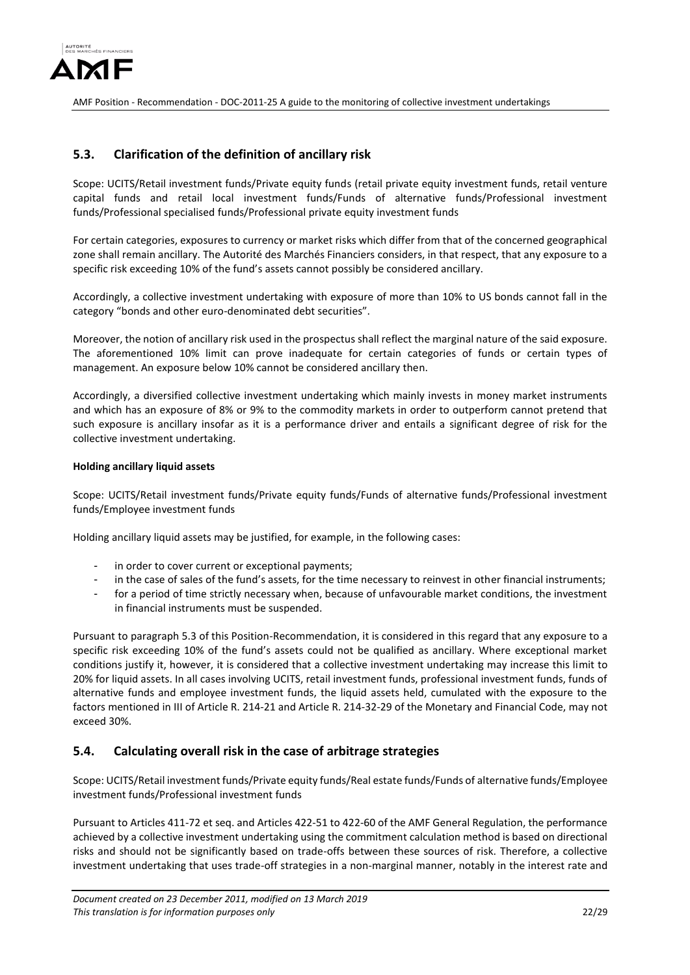

## <span id="page-21-0"></span>**5.3. Clarification of the definition of ancillary risk**

Scope: UCITS/Retail investment funds/Private equity funds (retail private equity investment funds, retail venture capital funds and retail local investment funds/Funds of alternative funds/Professional investment funds/Professional specialised funds/Professional private equity investment funds

For certain categories, exposures to currency or market risks which differ from that of the concerned geographical zone shall remain ancillary. The Autorité des Marchés Financiers considers, in that respect, that any exposure to a specific risk exceeding 10% of the fund's assets cannot possibly be considered ancillary.

Accordingly, a collective investment undertaking with exposure of more than 10% to US bonds cannot fall in the category "bonds and other euro-denominated debt securities".

Moreover, the notion of ancillary risk used in the prospectus shall reflect the marginal nature of the said exposure. The aforementioned 10% limit can prove inadequate for certain categories of funds or certain types of management. An exposure below 10% cannot be considered ancillary then.

Accordingly, a diversified collective investment undertaking which mainly invests in money market instruments and which has an exposure of 8% or 9% to the commodity markets in order to outperform cannot pretend that such exposure is ancillary insofar as it is a performance driver and entails a significant degree of risk for the collective investment undertaking.

#### **Holding ancillary liquid assets**

Scope: UCITS/Retail investment funds/Private equity funds/Funds of alternative funds/Professional investment funds/Employee investment funds

Holding ancillary liquid assets may be justified, for example, in the following cases:

- in order to cover current or exceptional payments:
- in the case of sales of the fund's assets, for the time necessary to reinvest in other financial instruments;
- for a period of time strictly necessary when, because of unfavourable market conditions, the investment in financial instruments must be suspended.

Pursuant to paragraph 5.3 of this Position-Recommendation, it is considered in this regard that any exposure to a specific risk exceeding 10% of the fund's assets could not be qualified as ancillary. Where exceptional market conditions justify it, however, it is considered that a collective investment undertaking may increase this limit to 20% for liquid assets. In all cases involving UCITS, retail investment funds, professional investment funds, funds of alternative funds and employee investment funds, the liquid assets held, cumulated with the exposure to the factors mentioned in III of Article R. 214-21 and Article R. 214-32-29 of the Monetary and Financial Code, may not exceed 30%.

## <span id="page-21-1"></span>**5.4. Calculating overall risk in the case of arbitrage strategies**

Scope: UCITS/Retail investment funds/Private equity funds/Real estate funds/Funds of alternative funds/Employee investment funds/Professional investment funds

Pursuant to Articles 411-72 et seq. and Articles 422-51 to 422-60 of the AMF General Regulation, the performance achieved by a collective investment undertaking using the commitment calculation method is based on directional risks and should not be significantly based on trade-offs between these sources of risk. Therefore, a collective investment undertaking that uses trade-off strategies in a non-marginal manner, notably in the interest rate and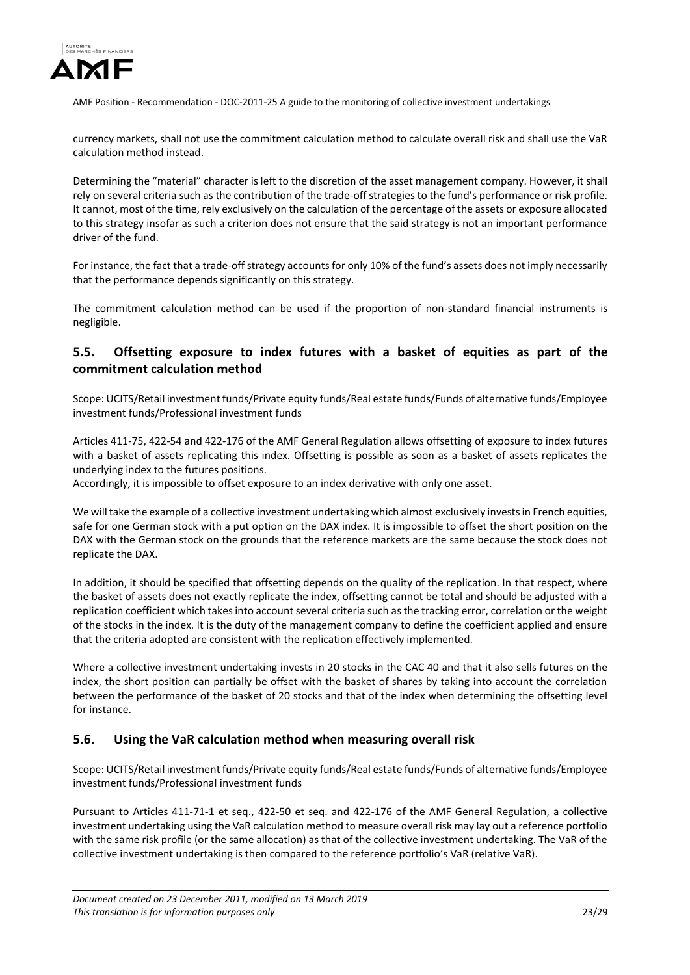

currency markets, shall not use the commitment calculation method to calculate overall risk and shall use the VaR calculation method instead.

Determining the "material" character is left to the discretion of the asset management company. However, it shall rely on several criteria such as the contribution of the trade-off strategies to the fund's performance or risk profile. It cannot, most of the time, rely exclusively on the calculation of the percentage of the assets or exposure allocated to this strategy insofar as such a criterion does not ensure that the said strategy is not an important performance driver of the fund.

For instance, the fact that a trade-off strategy accounts for only 10% of the fund's assets does not imply necessarily that the performance depends significantly on this strategy.

The commitment calculation method can be used if the proportion of non-standard financial instruments is negligible.

## <span id="page-22-0"></span>**5.5. Offsetting exposure to index futures with a basket of equities as part of the commitment calculation method**

Scope: UCITS/Retail investment funds/Private equity funds/Real estate funds/Funds of alternative funds/Employee investment funds/Professional investment funds

Articles 411-75, 422-54 and 422-176 of the AMF General Regulation allows offsetting of exposure to index futures with a basket of assets replicating this index. Offsetting is possible as soon as a basket of assets replicates the underlying index to the futures positions.

Accordingly, it is impossible to offset exposure to an index derivative with only one asset.

We will take the example of a collective investment undertaking which almost exclusively invests in French equities, safe for one German stock with a put option on the DAX index. It is impossible to offset the short position on the DAX with the German stock on the grounds that the reference markets are the same because the stock does not replicate the DAX.

In addition, it should be specified that offsetting depends on the quality of the replication. In that respect, where the basket of assets does not exactly replicate the index, offsetting cannot be total and should be adjusted with a replication coefficient which takes into account several criteria such as the tracking error, correlation or the weight of the stocks in the index. It is the duty of the management company to define the coefficient applied and ensure that the criteria adopted are consistent with the replication effectively implemented.

Where a collective investment undertaking invests in 20 stocks in the CAC 40 and that it also sells futures on the index, the short position can partially be offset with the basket of shares by taking into account the correlation between the performance of the basket of 20 stocks and that of the index when determining the offsetting level for instance.

## <span id="page-22-1"></span>**5.6. Using the VaR calculation method when measuring overall risk**

Scope: UCITS/Retail investment funds/Private equity funds/Real estate funds/Funds of alternative funds/Employee investment funds/Professional investment funds

Pursuant to Articles 411-71-1 et seq., 422-50 et seq. and 422-176 of the AMF General Regulation, a collective investment undertaking using the VaR calculation method to measure overall risk may lay out a reference portfolio with the same risk profile (or the same allocation) as that of the collective investment undertaking. The VaR of the collective investment undertaking is then compared to the reference portfolio's VaR (relative VaR).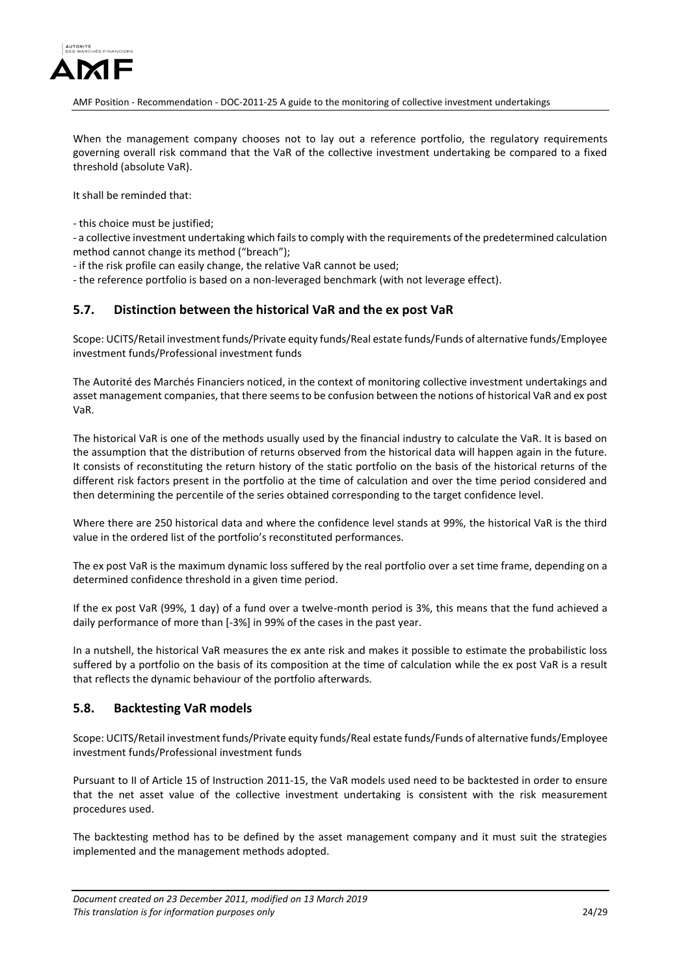

When the management company chooses not to lay out a reference portfolio, the regulatory requirements governing overall risk command that the VaR of the collective investment undertaking be compared to a fixed threshold (absolute VaR).

It shall be reminded that:

- this choice must be justified;

- a collective investment undertaking which fails to comply with the requirements of the predetermined calculation method cannot change its method ("breach");

- if the risk profile can easily change, the relative VaR cannot be used;
- the reference portfolio is based on a non-leveraged benchmark (with not leverage effect).

#### <span id="page-23-0"></span>**5.7. Distinction between the historical VaR and the ex post VaR**

Scope: UCITS/Retail investment funds/Private equity funds/Real estate funds/Funds of alternative funds/Employee investment funds/Professional investment funds

The Autorité des Marchés Financiers noticed, in the context of monitoring collective investment undertakings and asset management companies, that there seems to be confusion between the notions of historical VaR and ex post VaR.

The historical VaR is one of the methods usually used by the financial industry to calculate the VaR. It is based on the assumption that the distribution of returns observed from the historical data will happen again in the future. It consists of reconstituting the return history of the static portfolio on the basis of the historical returns of the different risk factors present in the portfolio at the time of calculation and over the time period considered and then determining the percentile of the series obtained corresponding to the target confidence level.

Where there are 250 historical data and where the confidence level stands at 99%, the historical VaR is the third value in the ordered list of the portfolio's reconstituted performances.

The ex post VaR is the maximum dynamic loss suffered by the real portfolio over a set time frame, depending on a determined confidence threshold in a given time period.

If the ex post VaR (99%, 1 day) of a fund over a twelve-month period is 3%, this means that the fund achieved a daily performance of more than [-3%] in 99% of the cases in the past year.

In a nutshell, the historical VaR measures the ex ante risk and makes it possible to estimate the probabilistic loss suffered by a portfolio on the basis of its composition at the time of calculation while the ex post VaR is a result that reflects the dynamic behaviour of the portfolio afterwards.

## <span id="page-23-1"></span>**5.8. Backtesting VaR models**

Scope: UCITS/Retail investment funds/Private equity funds/Real estate funds/Funds of alternative funds/Employee investment funds/Professional investment funds

Pursuant to II of Article 15 of Instruction 2011-15, the VaR models used need to be backtested in order to ensure that the net asset value of the collective investment undertaking is consistent with the risk measurement procedures used.

The backtesting method has to be defined by the asset management company and it must suit the strategies implemented and the management methods adopted.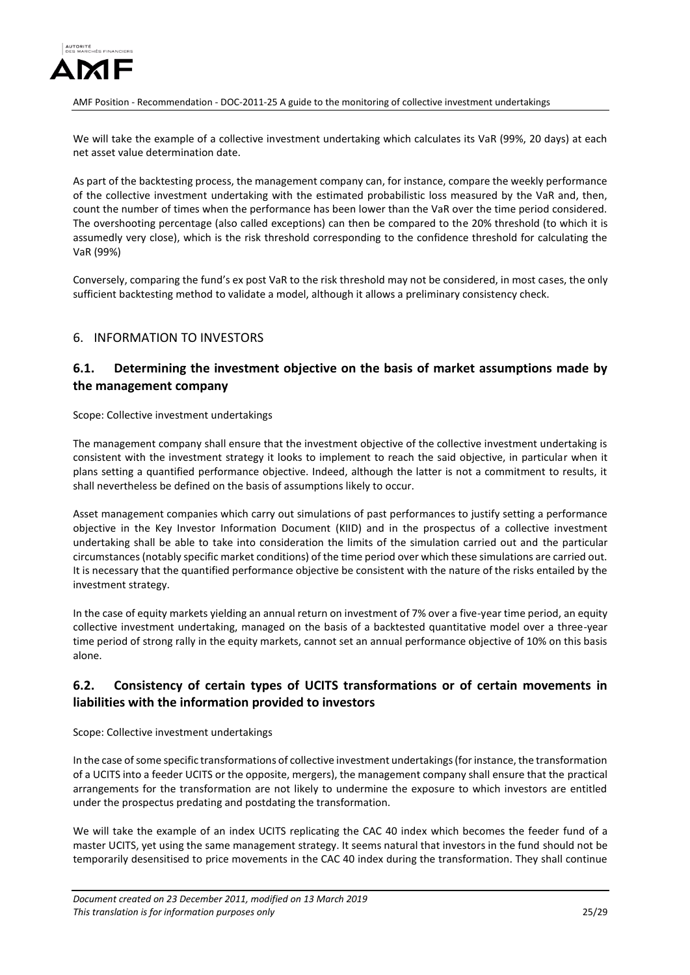

We will take the example of a collective investment undertaking which calculates its VaR (99%, 20 days) at each net asset value determination date.

As part of the backtesting process, the management company can, for instance, compare the weekly performance of the collective investment undertaking with the estimated probabilistic loss measured by the VaR and, then, count the number of times when the performance has been lower than the VaR over the time period considered. The overshooting percentage (also called exceptions) can then be compared to the 20% threshold (to which it is assumedly very close), which is the risk threshold corresponding to the confidence threshold for calculating the VaR (99%)

Conversely, comparing the fund's ex post VaR to the risk threshold may not be considered, in most cases, the only sufficient backtesting method to validate a model, although it allows a preliminary consistency check.

## <span id="page-24-0"></span>6. INFORMATION TO INVESTORS

## <span id="page-24-1"></span>**6.1. Determining the investment objective on the basis of market assumptions made by the management company**

Scope: Collective investment undertakings

The management company shall ensure that the investment objective of the collective investment undertaking is consistent with the investment strategy it looks to implement to reach the said objective, in particular when it plans setting a quantified performance objective. Indeed, although the latter is not a commitment to results, it shall nevertheless be defined on the basis of assumptions likely to occur.

Asset management companies which carry out simulations of past performances to justify setting a performance objective in the Key Investor Information Document (KIID) and in the prospectus of a collective investment undertaking shall be able to take into consideration the limits of the simulation carried out and the particular circumstances (notably specific market conditions) of the time period over which these simulations are carried out. It is necessary that the quantified performance objective be consistent with the nature of the risks entailed by the investment strategy.

In the case of equity markets yielding an annual return on investment of 7% over a five-year time period, an equity collective investment undertaking, managed on the basis of a backtested quantitative model over a three-year time period of strong rally in the equity markets, cannot set an annual performance objective of 10% on this basis alone.

## <span id="page-24-2"></span>**6.2. Consistency of certain types of UCITS transformations or of certain movements in liabilities with the information provided to investors**

Scope: Collective investment undertakings

In the case of some specific transformations of collective investment undertakings (for instance, the transformation of a UCITS into a feeder UCITS or the opposite, mergers), the management company shall ensure that the practical arrangements for the transformation are not likely to undermine the exposure to which investors are entitled under the prospectus predating and postdating the transformation.

We will take the example of an index UCITS replicating the CAC 40 index which becomes the feeder fund of a master UCITS, yet using the same management strategy. It seems natural that investors in the fund should not be temporarily desensitised to price movements in the CAC 40 index during the transformation. They shall continue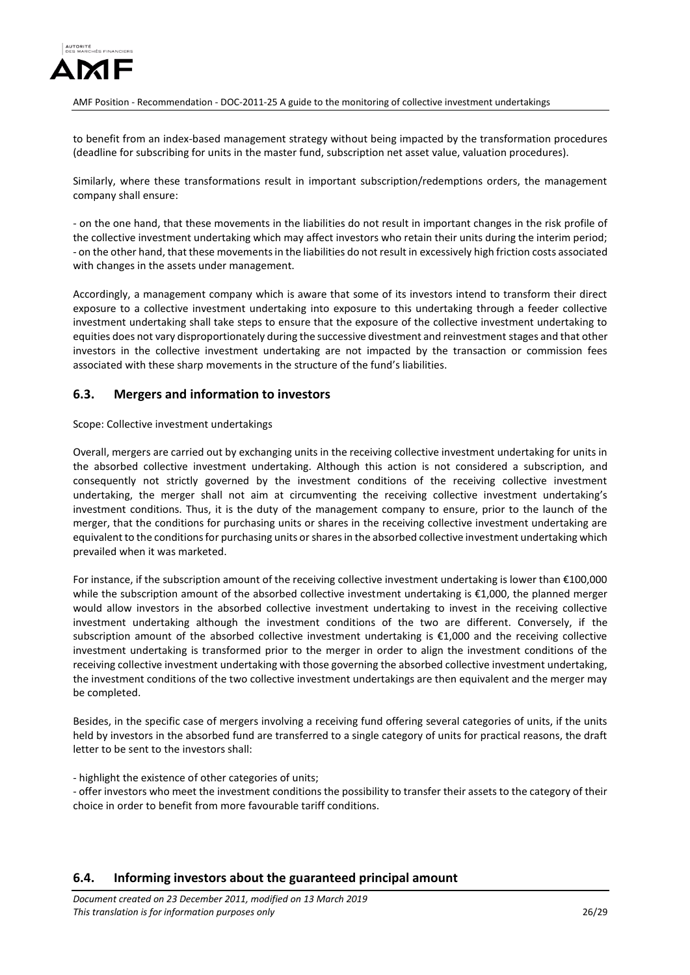

to benefit from an index-based management strategy without being impacted by the transformation procedures (deadline for subscribing for units in the master fund, subscription net asset value, valuation procedures).

Similarly, where these transformations result in important subscription/redemptions orders, the management company shall ensure:

- on the one hand, that these movements in the liabilities do not result in important changes in the risk profile of the collective investment undertaking which may affect investors who retain their units during the interim period; - on the other hand, that these movements in the liabilities do not result in excessively high friction costs associated with changes in the assets under management.

Accordingly, a management company which is aware that some of its investors intend to transform their direct exposure to a collective investment undertaking into exposure to this undertaking through a feeder collective investment undertaking shall take steps to ensure that the exposure of the collective investment undertaking to equities does not vary disproportionately during the successive divestment and reinvestment stages and that other investors in the collective investment undertaking are not impacted by the transaction or commission fees associated with these sharp movements in the structure of the fund's liabilities.

## <span id="page-25-0"></span>**6.3. Mergers and information to investors**

Scope: Collective investment undertakings

Overall, mergers are carried out by exchanging units in the receiving collective investment undertaking for units in the absorbed collective investment undertaking. Although this action is not considered a subscription, and consequently not strictly governed by the investment conditions of the receiving collective investment undertaking, the merger shall not aim at circumventing the receiving collective investment undertaking's investment conditions. Thus, it is the duty of the management company to ensure, prior to the launch of the merger, that the conditions for purchasing units or shares in the receiving collective investment undertaking are equivalent to the conditions for purchasing units or shares in the absorbed collective investment undertaking which prevailed when it was marketed.

For instance, if the subscription amount of the receiving collective investment undertaking is lower than €100,000 while the subscription amount of the absorbed collective investment undertaking is €1,000, the planned merger would allow investors in the absorbed collective investment undertaking to invest in the receiving collective investment undertaking although the investment conditions of the two are different. Conversely, if the subscription amount of the absorbed collective investment undertaking is €1,000 and the receiving collective investment undertaking is transformed prior to the merger in order to align the investment conditions of the receiving collective investment undertaking with those governing the absorbed collective investment undertaking, the investment conditions of the two collective investment undertakings are then equivalent and the merger may be completed.

Besides, in the specific case of mergers involving a receiving fund offering several categories of units, if the units held by investors in the absorbed fund are transferred to a single category of units for practical reasons, the draft letter to be sent to the investors shall:

- highlight the existence of other categories of units;

- offer investors who meet the investment conditions the possibility to transfer their assets to the category of their choice in order to benefit from more favourable tariff conditions.

#### <span id="page-25-1"></span>**6.4. Informing investors about the guaranteed principal amount**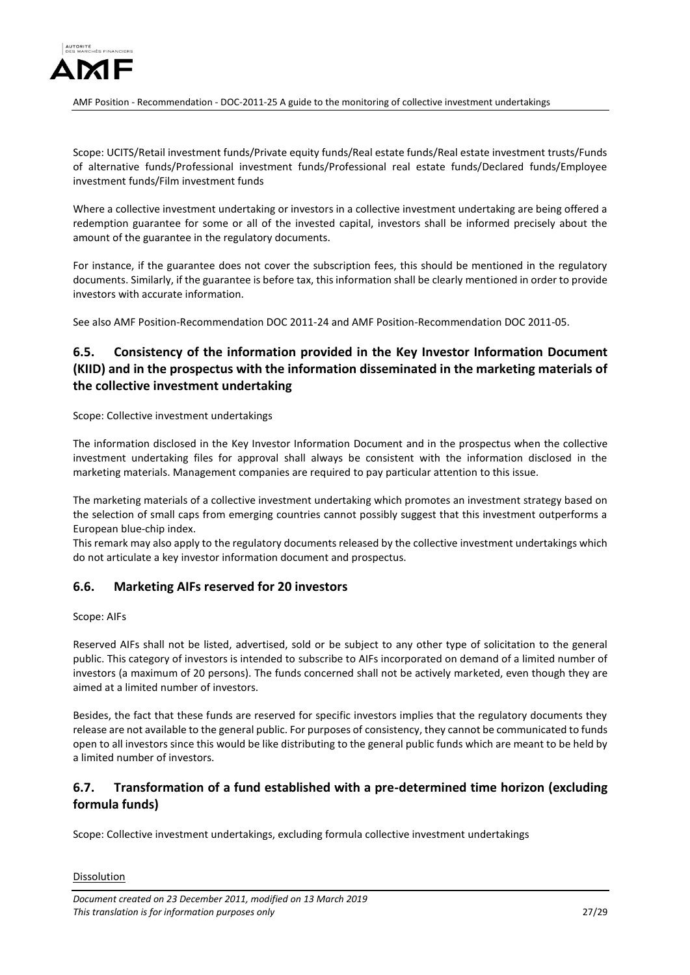

Scope: UCITS/Retail investment funds/Private equity funds/Real estate funds/Real estate investment trusts/Funds of alternative funds/Professional investment funds/Professional real estate funds/Declared funds/Employee investment funds/Film investment funds

Where a collective investment undertaking or investors in a collective investment undertaking are being offered a redemption guarantee for some or all of the invested capital, investors shall be informed precisely about the amount of the guarantee in the regulatory documents.

For instance, if the guarantee does not cover the subscription fees, this should be mentioned in the regulatory documents. Similarly, if the guarantee is before tax, this information shall be clearly mentioned in order to provide investors with accurate information.

See also AMF Position-Recommendation DOC 2011-24 and AMF Position-Recommendation DOC 2011-05.

# <span id="page-26-0"></span>**6.5. Consistency of the information provided in the Key Investor Information Document (KIID) and in the prospectus with the information disseminated in the marketing materials of the collective investment undertaking**

Scope: Collective investment undertakings

The information disclosed in the Key Investor Information Document and in the prospectus when the collective investment undertaking files for approval shall always be consistent with the information disclosed in the marketing materials. Management companies are required to pay particular attention to this issue.

The marketing materials of a collective investment undertaking which promotes an investment strategy based on the selection of small caps from emerging countries cannot possibly suggest that this investment outperforms a European blue-chip index.

This remark may also apply to the regulatory documents released by the collective investment undertakings which do not articulate a key investor information document and prospectus.

## <span id="page-26-1"></span>**6.6. Marketing AIFs reserved for 20 investors**

#### Scope: AIFs

Reserved AIFs shall not be listed, advertised, sold or be subject to any other type of solicitation to the general public. This category of investors is intended to subscribe to AIFs incorporated on demand of a limited number of investors (a maximum of 20 persons). The funds concerned shall not be actively marketed, even though they are aimed at a limited number of investors.

Besides, the fact that these funds are reserved for specific investors implies that the regulatory documents they release are not available to the general public. For purposes of consistency, they cannot be communicated to funds open to all investors since this would be like distributing to the general public funds which are meant to be held by a limited number of investors.

# <span id="page-26-2"></span>**6.7. Transformation of a fund established with a pre-determined time horizon (excluding formula funds)**

Scope: Collective investment undertakings, excluding formula collective investment undertakings

#### Dissolution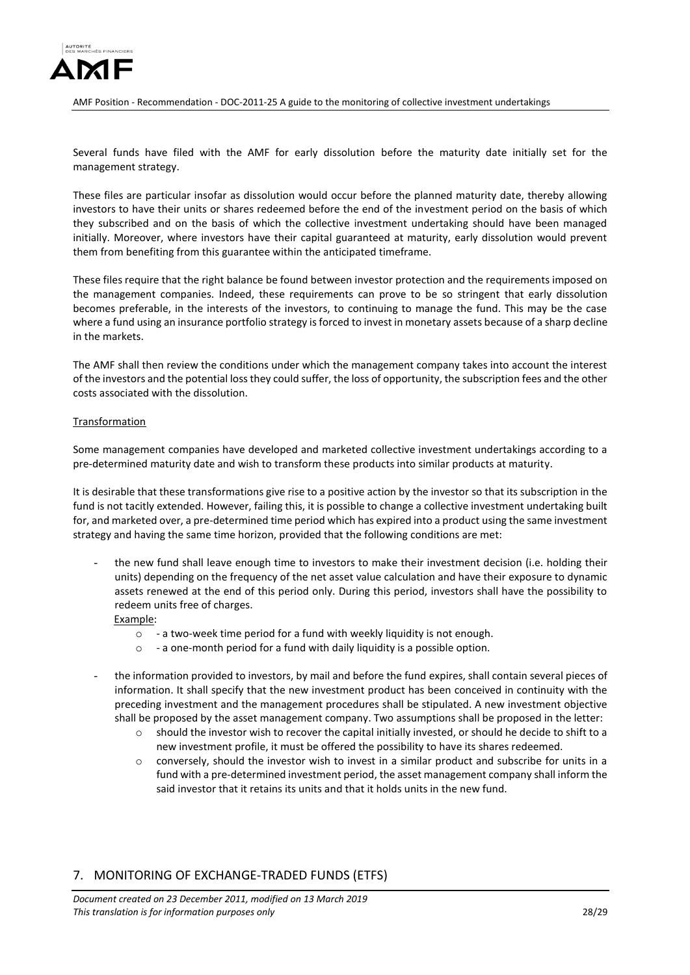

Several funds have filed with the AMF for early dissolution before the maturity date initially set for the management strategy.

These files are particular insofar as dissolution would occur before the planned maturity date, thereby allowing investors to have their units or shares redeemed before the end of the investment period on the basis of which they subscribed and on the basis of which the collective investment undertaking should have been managed initially. Moreover, where investors have their capital guaranteed at maturity, early dissolution would prevent them from benefiting from this guarantee within the anticipated timeframe.

These files require that the right balance be found between investor protection and the requirements imposed on the management companies. Indeed, these requirements can prove to be so stringent that early dissolution becomes preferable, in the interests of the investors, to continuing to manage the fund. This may be the case where a fund using an insurance portfolio strategy is forced to invest in monetary assets because of a sharp decline in the markets.

The AMF shall then review the conditions under which the management company takes into account the interest of the investors and the potential loss they could suffer, the loss of opportunity, the subscription fees and the other costs associated with the dissolution.

#### Transformation

Some management companies have developed and marketed collective investment undertakings according to a pre-determined maturity date and wish to transform these products into similar products at maturity.

It is desirable that these transformations give rise to a positive action by the investor so that its subscription in the fund is not tacitly extended. However, failing this, it is possible to change a collective investment undertaking built for, and marketed over, a pre-determined time period which has expired into a product using the same investment strategy and having the same time horizon, provided that the following conditions are met:

the new fund shall leave enough time to investors to make their investment decision (i.e. holding their units) depending on the frequency of the net asset value calculation and have their exposure to dynamic assets renewed at the end of this period only. During this period, investors shall have the possibility to redeem units free of charges.

Example:

- o a two-week time period for a fund with weekly liquidity is not enough.
- o a one-month period for a fund with daily liquidity is a possible option.
- the information provided to investors, by mail and before the fund expires, shall contain several pieces of information. It shall specify that the new investment product has been conceived in continuity with the preceding investment and the management procedures shall be stipulated. A new investment objective shall be proposed by the asset management company. Two assumptions shall be proposed in the letter:
	- $\circ$  should the investor wish to recover the capital initially invested, or should he decide to shift to a new investment profile, it must be offered the possibility to have its shares redeemed.
	- $\circ$  conversely, should the investor wish to invest in a similar product and subscribe for units in a fund with a pre-determined investment period, the asset management company shall inform the said investor that it retains its units and that it holds units in the new fund.

# <span id="page-27-0"></span>7. MONITORING OF EXCHANGE-TRADED FUNDS (ETFS)